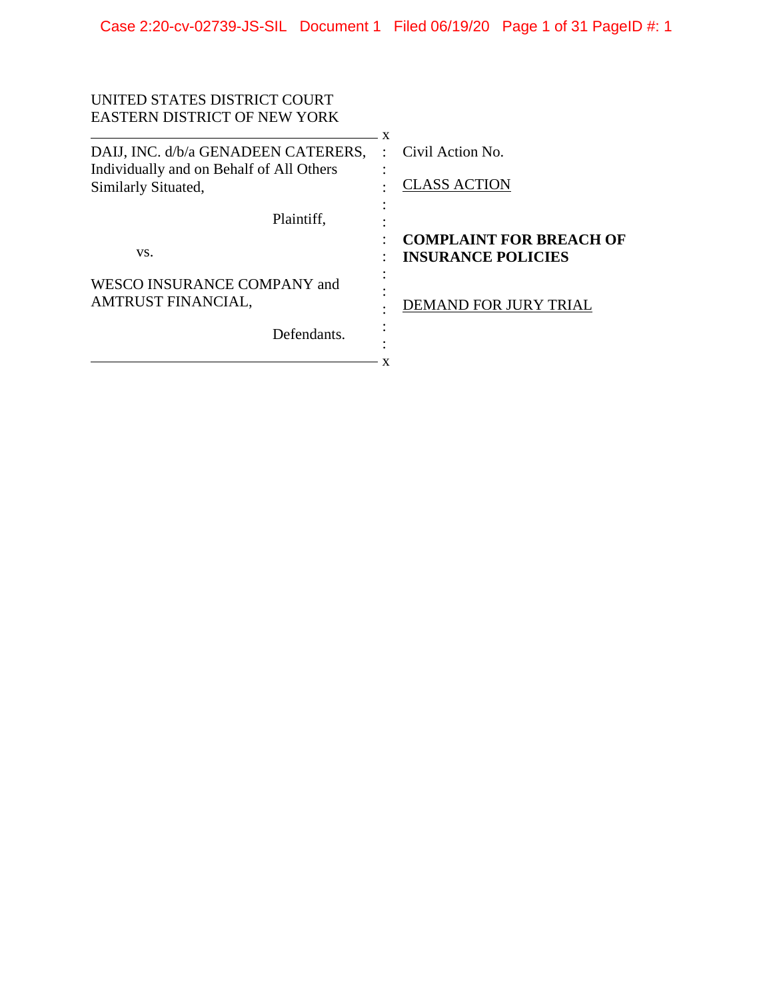| UNITED STATES DISTRICT COURT<br><b>EASTERN DISTRICT OF NEW YORK</b> |                                                             |
|---------------------------------------------------------------------|-------------------------------------------------------------|
|                                                                     | $\mathbf{x}$                                                |
| DAIJ, INC. d/b/a GENADEEN CATERERS,                                 | Civil Action No.                                            |
| Individually and on Behalf of All Others<br>Similarly Situated,     | <b>CLASS ACTION</b>                                         |
| Plaintiff,                                                          |                                                             |
| VS.                                                                 | <b>COMPLAINT FOR BREACH OF</b><br><b>INSURANCE POLICIES</b> |
| WESCO INSURANCE COMPANY and<br>AMTRUST FINANCIAL,                   | <b>DEMAND FOR JURY TRIAL</b>                                |
| Defendants.                                                         |                                                             |
|                                                                     |                                                             |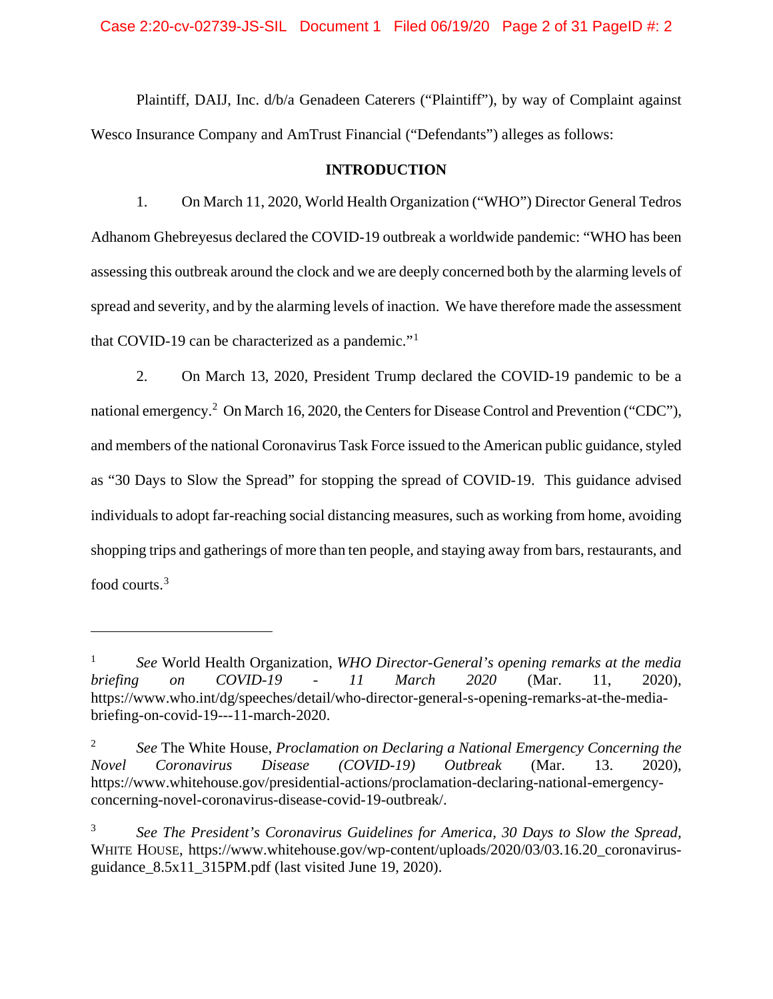Case 2:20-cv-02739-JS-SIL Document 1 Filed 06/19/20 Page 2 of 31 PageID #: 2

Plaintiff, DAIJ, Inc. d/b/a Genadeen Caterers ("Plaintiff"), by way of Complaint against Wesco Insurance Company and AmTrust Financial ("Defendants") alleges as follows:

#### **INTRODUCTION**

1. On March 11, 2020, World Health Organization ("WHO") Director General Tedros Adhanom Ghebreyesus declared the COVID-19 outbreak a worldwide pandemic: "WHO has been assessing this outbreak around the clock and we are deeply concerned both by the alarming levels of spread and severity, and by the alarming levels of inaction. We have therefore made the assessment that COVID-19 can be characterized as a pandemic."[1](#page-1-0)

2. On March 13, 2020, President Trump declared the COVID-19 pandemic to be a national emergency.<sup>[2](#page-1-1)</sup> On March 16, 2020, the Centers for Disease Control and Prevention ("CDC"), and members of the national Coronavirus Task Force issued to the American public guidance, styled as "30 Days to Slow the Spread" for stopping the spread of COVID-19. This guidance advised individuals to adopt far-reaching social distancing measures, such as working from home, avoiding shopping trips and gatherings of more than ten people, and staying away from bars, restaurants, and food courts.[3](#page-1-2)

<span id="page-1-0"></span><sup>1</sup> *See* World Health Organization, *WHO Director-General's opening remarks at the media briefing on COVID-19 - 11 March 2020* (Mar. 11, 2020), https://www.who.int/dg/speeches/detail/who-director-general-s-opening-remarks-at-the-mediabriefing-on-covid-19---11-march-2020.

<span id="page-1-1"></span><sup>2</sup> *See* The White House, *Proclamation on Declaring a National Emergency Concerning the Novel Coronavirus Disease (COVID-19) Outbreak* (Mar. 13. 2020), https://www.whitehouse.gov/presidential-actions/proclamation-declaring-national-emergencyconcerning-novel-coronavirus-disease-covid-19-outbreak/.

<span id="page-1-2"></span><sup>3</sup> *See The President's Coronavirus Guidelines for America, 30 Days to Slow the Spread,*  WHITE HOUSE, https://www.whitehouse.gov/wp-content/uploads/2020/03/03.16.20\_coronavirusguidance\_8.5x11\_315PM.pdf (last visited June 19, 2020).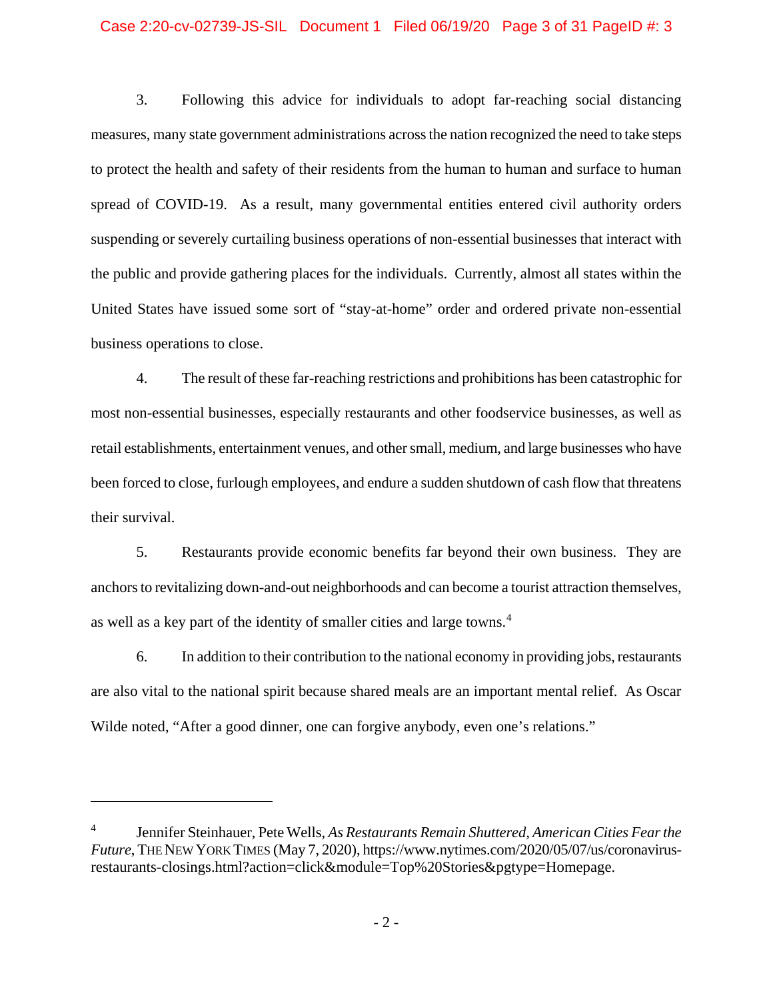#### Case 2:20-cv-02739-JS-SIL Document 1 Filed 06/19/20 Page 3 of 31 PageID #: 3

3. Following this advice for individuals to adopt far-reaching social distancing measures, many state government administrations across the nation recognized the need to take steps to protect the health and safety of their residents from the human to human and surface to human spread of COVID-19. As a result, many governmental entities entered civil authority orders suspending or severely curtailing business operations of non-essential businesses that interact with the public and provide gathering places for the individuals. Currently, almost all states within the United States have issued some sort of "stay-at-home" order and ordered private non-essential business operations to close.

4. The result of these far-reaching restrictions and prohibitions has been catastrophic for most non-essential businesses, especially restaurants and other foodservice businesses, as well as retail establishments, entertainment venues, and other small, medium, and large businesses who have been forced to close, furlough employees, and endure a sudden shutdown of cash flow that threatens their survival.

5. Restaurants provide economic benefits far beyond their own business. They are anchors to revitalizing down-and-out neighborhoods and can become a tourist attraction themselves, as well as a key part of the identity of smaller cities and large towns.<sup>[4](#page-2-0)</sup>

6. In addition to their contribution to the national economy in providing jobs, restaurants are also vital to the national spirit because shared meals are an important mental relief. As Oscar Wilde noted, "After a good dinner, one can forgive anybody, even one's relations."

<span id="page-2-0"></span><sup>4</sup> Jennifer Steinhauer, Pete Wells, *As Restaurants Remain Shuttered, American Cities Fear the Future*, THE NEW YORK TIMES (May 7, 2020), https://www.nytimes.com/2020/05/07/us/coronavirusrestaurants-closings.html?action=click&module=Top%20Stories&pgtype=Homepage.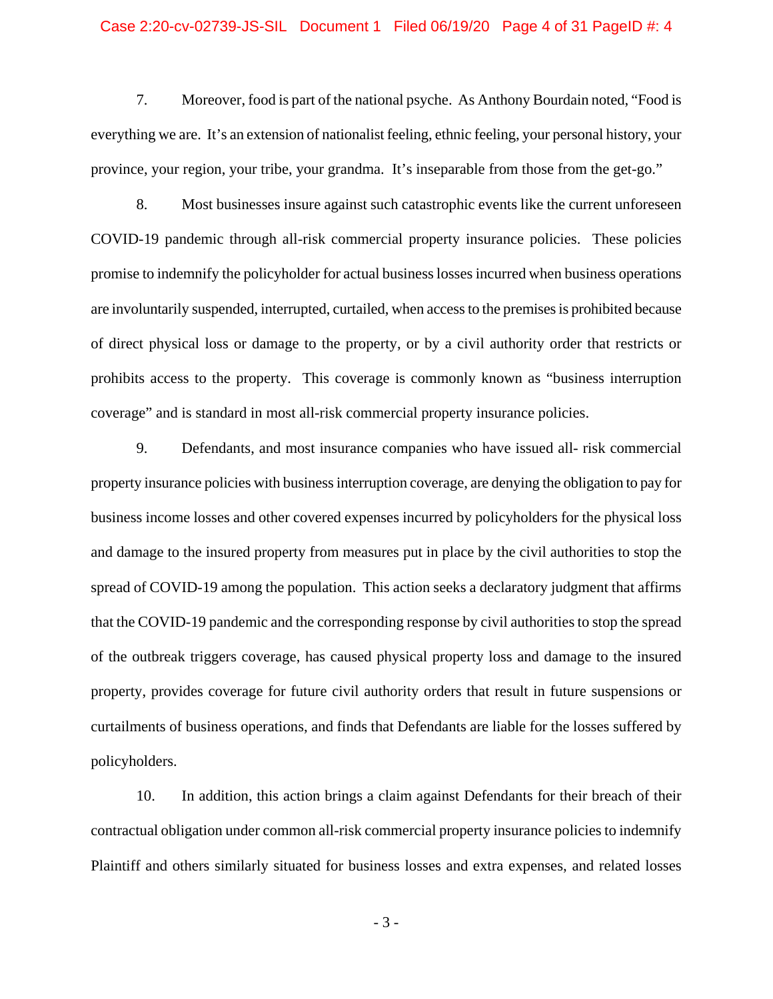#### Case 2:20-cv-02739-JS-SIL Document 1 Filed 06/19/20 Page 4 of 31 PageID #: 4

7. Moreover, food is part of the national psyche. As Anthony Bourdain noted, "Food is everything we are. It's an extension of nationalist feeling, ethnic feeling, your personal history, your province, your region, your tribe, your grandma. It's inseparable from those from the get-go."

8. Most businesses insure against such catastrophic events like the current unforeseen COVID-19 pandemic through all-risk commercial property insurance policies. These policies promise to indemnify the policyholder for actual business losses incurred when business operations are involuntarily suspended, interrupted, curtailed, when access to the premises is prohibited because of direct physical loss or damage to the property, or by a civil authority order that restricts or prohibits access to the property. This coverage is commonly known as "business interruption coverage" and is standard in most all-risk commercial property insurance policies.

9. Defendants, and most insurance companies who have issued all- risk commercial property insurance policies with business interruption coverage, are denying the obligation to pay for business income losses and other covered expenses incurred by policyholders for the physical loss and damage to the insured property from measures put in place by the civil authorities to stop the spread of COVID-19 among the population. This action seeks a declaratory judgment that affirms that the COVID-19 pandemic and the corresponding response by civil authorities to stop the spread of the outbreak triggers coverage, has caused physical property loss and damage to the insured property, provides coverage for future civil authority orders that result in future suspensions or curtailments of business operations, and finds that Defendants are liable for the losses suffered by policyholders.

10. In addition, this action brings a claim against Defendants for their breach of their contractual obligation under common all-risk commercial property insurance policies to indemnify Plaintiff and others similarly situated for business losses and extra expenses, and related losses

- 3 -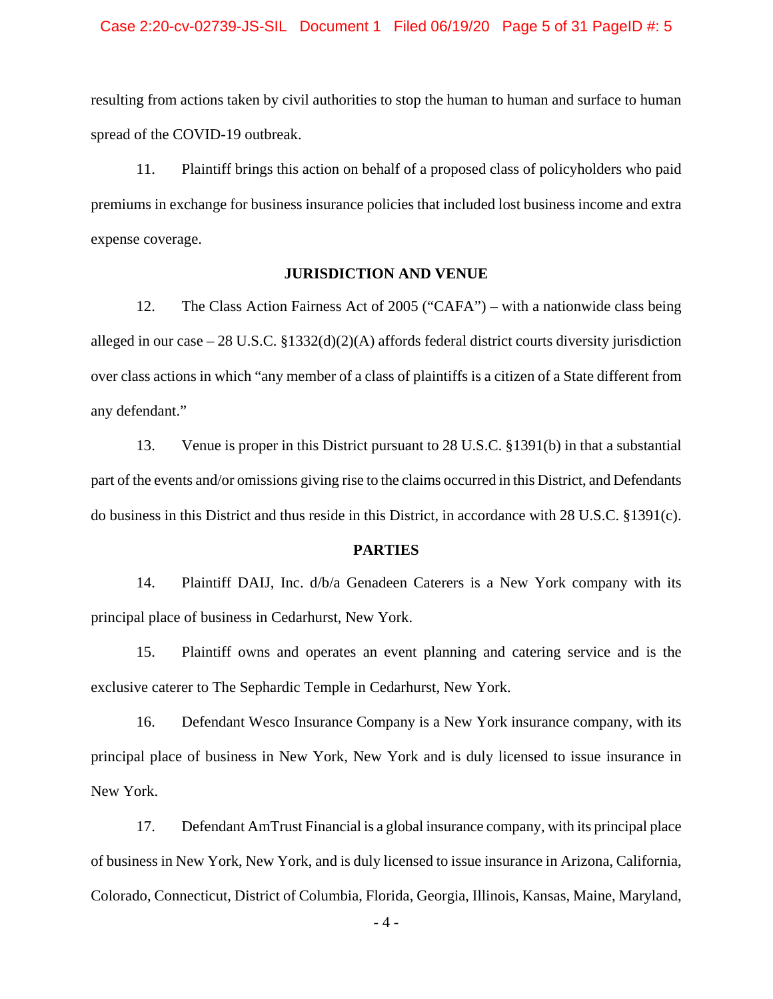#### Case 2:20-cv-02739-JS-SIL Document 1 Filed 06/19/20 Page 5 of 31 PageID #: 5

resulting from actions taken by civil authorities to stop the human to human and surface to human spread of the COVID-19 outbreak.

11. Plaintiff brings this action on behalf of a proposed class of policyholders who paid premiums in exchange for business insurance policies that included lost business income and extra expense coverage.

## **JURISDICTION AND VENUE**

12. The Class Action Fairness Act of 2005 ("CAFA") – with a nationwide class being alleged in our case – 28 U.S.C. §1332(d)(2)(A) affords federal district courts diversity jurisdiction over class actions in which "any member of a class of plaintiffs is a citizen of a State different from any defendant."

13. Venue is proper in this District pursuant to 28 U.S.C. §1391(b) in that a substantial part of the events and/or omissions giving rise to the claims occurred in this District, and Defendants do business in this District and thus reside in this District, in accordance with 28 U.S.C. §1391(c).

### **PARTIES**

14. Plaintiff DAIJ, Inc. d/b/a Genadeen Caterers is a New York company with its principal place of business in Cedarhurst, New York.

15. Plaintiff owns and operates an event planning and catering service and is the exclusive caterer to The Sephardic Temple in Cedarhurst, New York.

16. Defendant Wesco Insurance Company is a New York insurance company, with its principal place of business in New York, New York and is duly licensed to issue insurance in New York.

17. Defendant AmTrust Financial is a global insurance company, with its principal place of business in New York, New York, and is duly licensed to issue insurance in Arizona, California, Colorado, Connecticut, District of Columbia, Florida, Georgia, Illinois, Kansas, Maine, Maryland,

- 4 -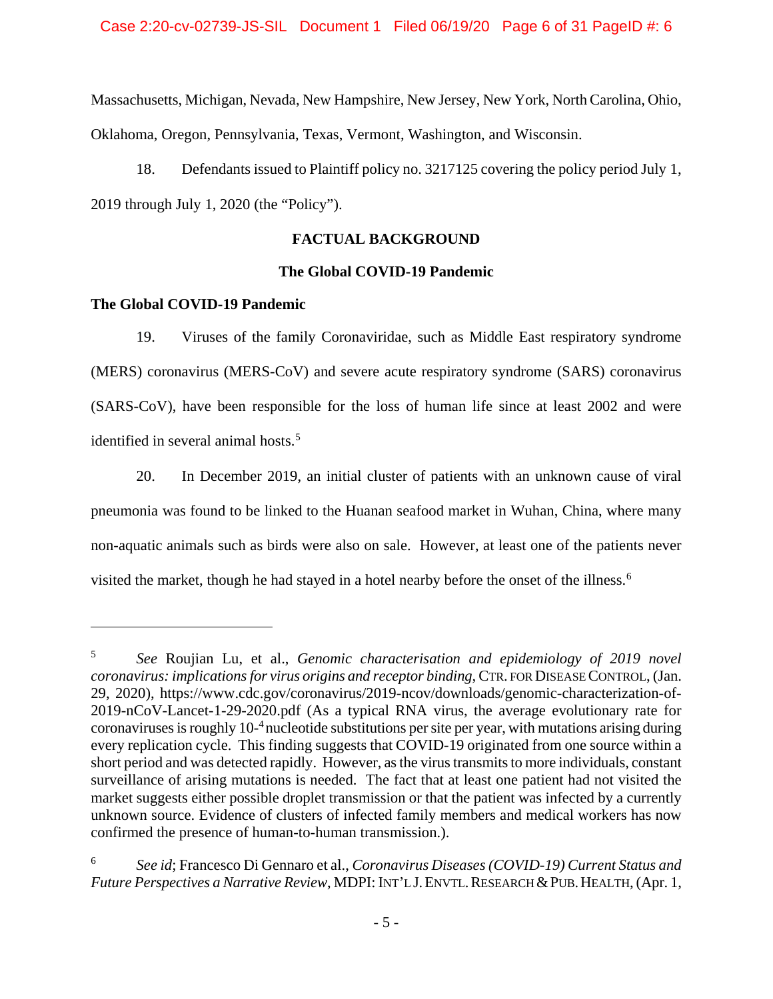Massachusetts, Michigan, Nevada, New Hampshire, New Jersey, New York, North Carolina, Ohio, Oklahoma, Oregon, Pennsylvania, Texas, Vermont, Washington, and Wisconsin.

18. Defendants issued to Plaintiff policy no. 3217125 covering the policy period July 1, 2019 through July 1, 2020 (the "Policy").

## **FACTUAL BACKGROUND**

## **The Global COVID-19 Pandemic**

## **The Global COVID-19 Pandemic**

 $\overline{a}$ 

19. Viruses of the family Coronaviridae, such as Middle East respiratory syndrome (MERS) coronavirus (MERS-CoV) and severe acute respiratory syndrome (SARS) coronavirus (SARS-CoV), have been responsible for the loss of human life since at least 2002 and were identified in several animal hosts.<sup>[5](#page-5-0)</sup>

20. In December 2019, an initial cluster of patients with an unknown cause of viral pneumonia was found to be linked to the Huanan seafood market in Wuhan, China, where many non-aquatic animals such as birds were also on sale. However, at least one of the patients never visited the market, though he had stayed in a hotel nearby before the onset of the illness.<sup>[6](#page-5-1)</sup>

<span id="page-5-0"></span><sup>5</sup> *See* Roujian Lu, et al., *Genomic characterisation and epidemiology of 2019 novel coronavirus: implications for virus origins and receptor binding*, CTR. FOR DISEASE CONTROL, (Jan. 29, 2020), https://www.cdc.gov/coronavirus/2019-ncov/downloads/genomic-characterization-of-2019-nCoV-Lancet-1-29-2020.pdf (As a typical RNA virus, the average evolutionary rate for coronaviruses is roughly 10- 4 nucleotide substitutions per site per year, with mutations arising during every replication cycle. This finding suggests that COVID-19 originated from one source within a short period and was detected rapidly. However, as the virus transmits to more individuals, constant surveillance of arising mutations is needed. The fact that at least one patient had not visited the market suggests either possible droplet transmission or that the patient was infected by a currently unknown source. Evidence of clusters of infected family members and medical workers has now confirmed the presence of human-to-human transmission.).

<span id="page-5-1"></span><sup>6</sup> *See id*; Francesco Di Gennaro et al., *Coronavirus Diseases (COVID-19) Current Status and*  Future Perspectives a Narrative Review, MDPI: INT'L J. ENVTL. RESEARCH & PUB. HEALTH, (Apr. 1,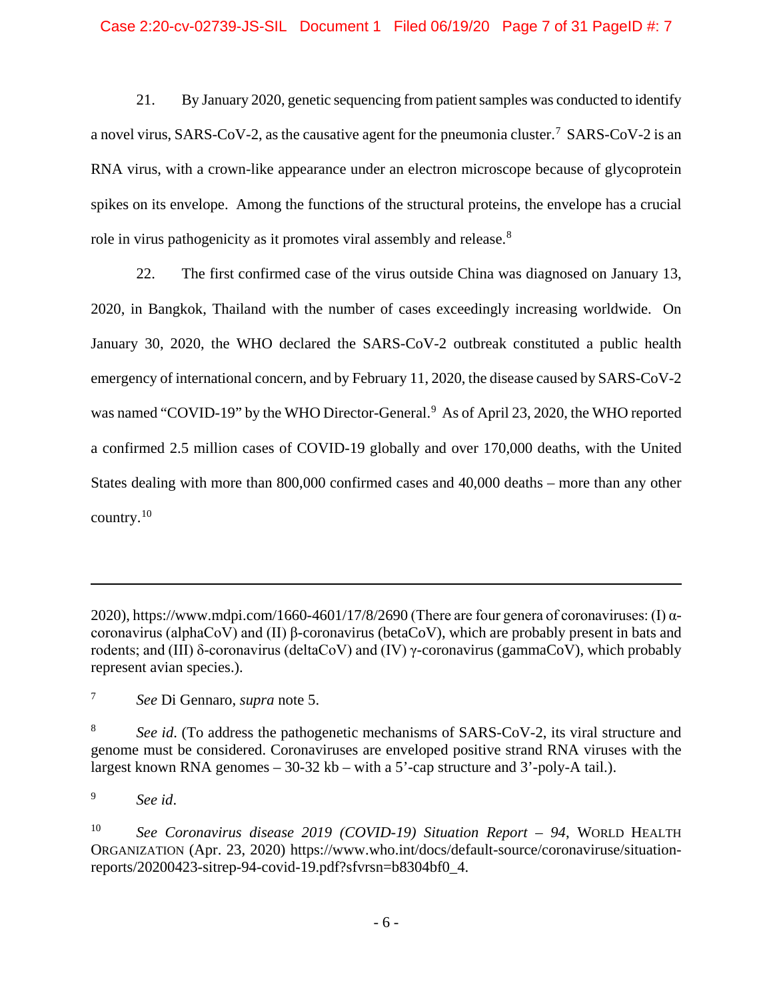21. By January 2020, genetic sequencing from patient samples was conducted to identify a novel virus, SARS-CoV-2, as the causative agent for the pneumonia cluster.<sup>[7](#page-6-0)</sup> SARS-CoV-2 is an RNA virus, with a crown-like appearance under an electron microscope because of glycoprotein spikes on its envelope. Among the functions of the structural proteins, the envelope has a crucial role in virus pathogenicity as it promotes viral assembly and release.<sup>[8](#page-6-1)</sup>

22. The first confirmed case of the virus outside China was diagnosed on January 13, 2020, in Bangkok, Thailand with the number of cases exceedingly increasing worldwide. On January 30, 2020, the WHO declared the SARS-CoV-2 outbreak constituted a public health emergency of international concern, and by February 11, 2020, the disease caused by SARS-CoV-2 was named "COVID-1[9](#page-6-2)" by the WHO Director-General.<sup>9</sup> As of April 23, 2020, the WHO reported a confirmed 2.5 million cases of COVID-19 globally and over 170,000 deaths, with the United States dealing with more than 800,000 confirmed cases and 40,000 deaths – more than any other country.[10](#page-6-3)

<sup>2020),</sup> https://www.mdpi.com/1660-4601/17/8/2690 (There are four genera of coronaviruses: (I)  $\alpha$ coronavirus (alphaCoV) and (II) β-coronavirus (betaCoV), which are probably present in bats and rodents; and (III) δ-coronavirus (deltaCoV) and (IV) γ-coronavirus (gammaCoV), which probably represent avian species.).

<span id="page-6-0"></span><sup>7</sup> *See* Di Gennaro, *supra* note 5.

<span id="page-6-1"></span><sup>8</sup> *See id*. (To address the pathogenetic mechanisms of SARS-CoV-2, its viral structure and genome must be considered. Coronaviruses are enveloped positive strand RNA viruses with the largest known RNA genomes – 30-32 kb – with a 5'-cap structure and 3'-poly-A tail.).

<span id="page-6-2"></span><sup>9</sup> *See id*.

<span id="page-6-3"></span><sup>10</sup> *See Coronavirus disease 2019 (COVID-19) Situation Report – 94*, WORLD HEALTH ORGANIZATION (Apr. 23, 2020) https://www.who.int/docs/default-source/coronaviruse/situationreports/20200423-sitrep-94-covid-19.pdf?sfvrsn=b8304bf0\_4.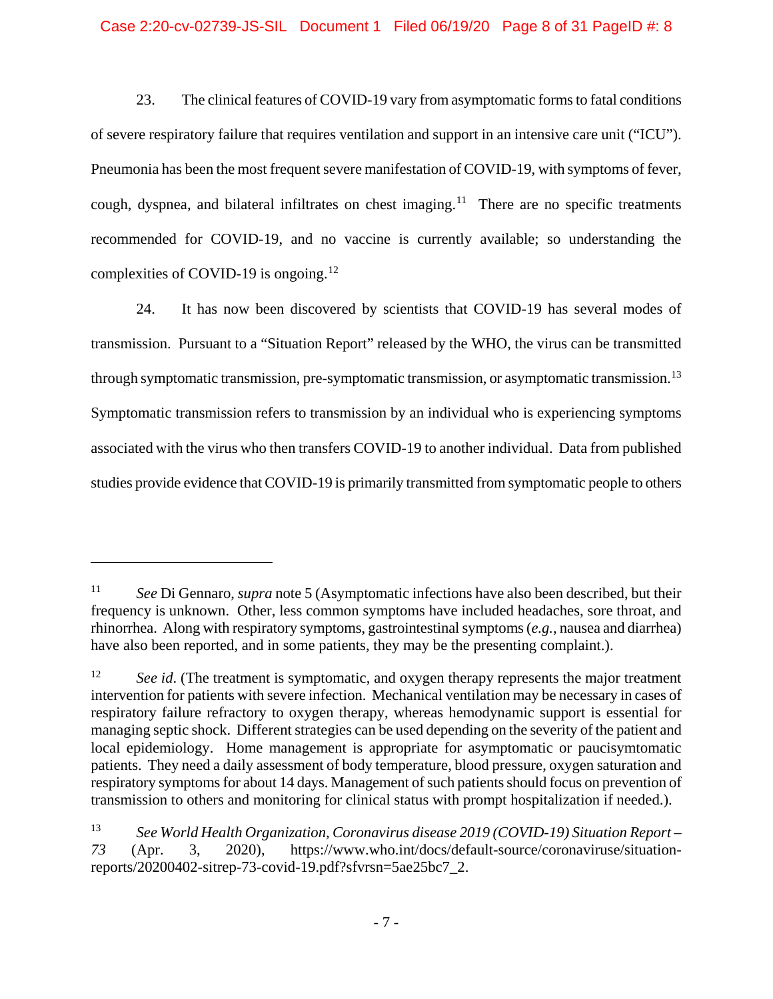### Case 2:20-cv-02739-JS-SIL Document 1 Filed 06/19/20 Page 8 of 31 PageID #: 8

23. The clinical features of COVID-19 vary from asymptomatic forms to fatal conditions of severe respiratory failure that requires ventilation and support in an intensive care unit ("ICU"). Pneumonia has been the most frequent severe manifestation of COVID-19, with symptoms of fever, cough, dyspnea, and bilateral infiltrates on chest imaging.<sup>11</sup> There are no specific treatments recommended for COVID-19, and no vaccine is currently available; so understanding the complexities of COVID-19 is ongoing.<sup>[12](#page-7-1)</sup>

24. It has now been discovered by scientists that COVID-19 has several modes of transmission. Pursuant to a "Situation Report" released by the WHO, the virus can be transmitted through symptomatic transmission, pre-symptomatic transmission, or asymptomatic transmission.<sup>[13](#page-7-2)</sup> Symptomatic transmission refers to transmission by an individual who is experiencing symptoms associated with the virus who then transfers COVID-19 to another individual. Data from published studies provide evidence that COVID-19 is primarily transmitted from symptomatic people to others

<span id="page-7-0"></span><sup>11</sup> *See* Di Gennaro, *supra* note 5 (Asymptomatic infections have also been described, but their frequency is unknown. Other, less common symptoms have included headaches, sore throat, and rhinorrhea. Along with respiratory symptoms, gastrointestinal symptoms (*e.g.*, nausea and diarrhea) have also been reported, and in some patients, they may be the presenting complaint.).

<span id="page-7-1"></span><sup>&</sup>lt;sup>12</sup> *See id.* (The treatment is symptomatic, and oxygen therapy represents the major treatment intervention for patients with severe infection. Mechanical ventilation may be necessary in cases of respiratory failure refractory to oxygen therapy, whereas hemodynamic support is essential for managing septic shock. Different strategies can be used depending on the severity of the patient and local epidemiology. Home management is appropriate for asymptomatic or paucisymtomatic patients. They need a daily assessment of body temperature, blood pressure, oxygen saturation and respiratory symptoms for about 14 days. Management of such patients should focus on prevention of transmission to others and monitoring for clinical status with prompt hospitalization if needed.).

<span id="page-7-2"></span><sup>13</sup> *See World Health Organization, Coronavirus disease 2019 (COVID-19) Situation Report – 73* (Apr. 3, 2020), https://www.who.int/docs/default-source/coronaviruse/situationreports/20200402-sitrep-73-covid-19.pdf?sfvrsn=5ae25bc7\_2.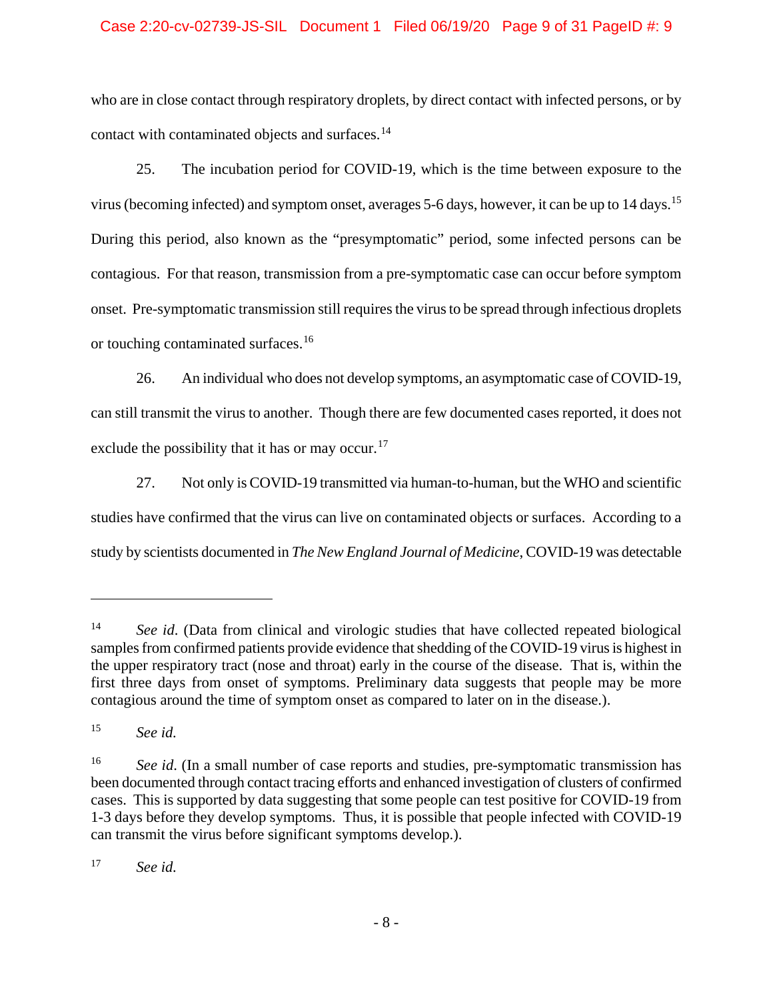## Case 2:20-cv-02739-JS-SIL Document 1 Filed 06/19/20 Page 9 of 31 PageID #: 9

who are in close contact through respiratory droplets, by direct contact with infected persons, or by contact with contaminated objects and surfaces.<sup>[14](#page-8-0)</sup>

25. The incubation period for COVID-19, which is the time between exposure to the virus (becoming infected) and symptom onset, averages 5-6 days, however, it can be up to 14 days.[15](#page-8-1) During this period, also known as the "presymptomatic" period, some infected persons can be contagious. For that reason, transmission from a pre-symptomatic case can occur before symptom onset. Pre-symptomatic transmission still requires the virus to be spread through infectious droplets or touching contaminated surfaces.<sup>[16](#page-8-2)</sup>

26. An individual who does not develop symptoms, an asymptomatic case of COVID-19, can still transmit the virus to another. Though there are few documented cases reported, it does not exclude the possibility that it has or may occur.<sup>[17](#page-8-3)</sup>

27. Not only is COVID-19 transmitted via human-to-human, but the WHO and scientific studies have confirmed that the virus can live on contaminated objects or surfaces. According to a study by scientists documented in *The New England Journal of Medicine*, COVID-19 was detectable

 $\overline{a}$ 

<span id="page-8-3"></span><sup>17</sup> *See id.*

<span id="page-8-0"></span><sup>&</sup>lt;sup>14</sup> *See id.* (Data from clinical and virologic studies that have collected repeated biological samples from confirmed patients provide evidence that shedding of the COVID-19 virus is highest in the upper respiratory tract (nose and throat) early in the course of the disease. That is, within the first three days from onset of symptoms. Preliminary data suggests that people may be more contagious around the time of symptom onset as compared to later on in the disease.).

<span id="page-8-1"></span><sup>15</sup> *See id.*

<span id="page-8-2"></span><sup>&</sup>lt;sup>16</sup> *See id.* (In a small number of case reports and studies, pre-symptomatic transmission has been documented through contact tracing efforts and enhanced investigation of clusters of confirmed cases. This is supported by data suggesting that some people can test positive for COVID-19 from 1-3 days before they develop symptoms. Thus, it is possible that people infected with COVID-19 can transmit the virus before significant symptoms develop.).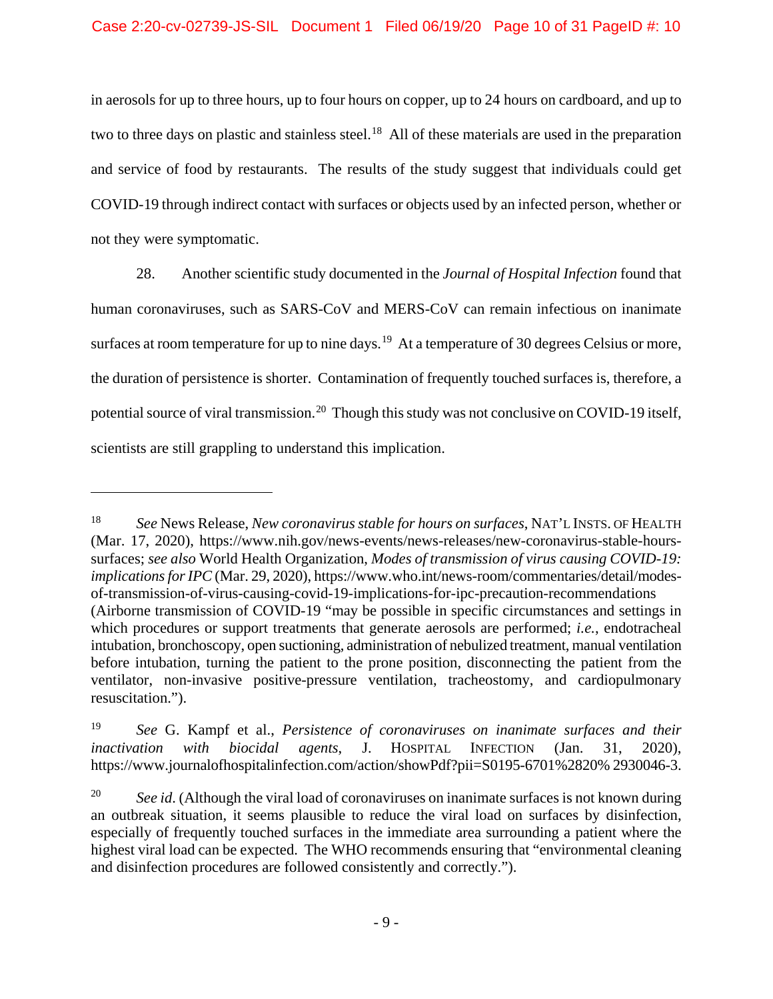in aerosols for up to three hours, up to four hours on copper, up to 24 hours on cardboard, and up to two to three days on plastic and stainless steel.<sup>18</sup> All of these materials are used in the preparation and service of food by restaurants. The results of the study suggest that individuals could get COVID-19 through indirect contact with surfaces or objects used by an infected person, whether or not they were symptomatic.

28. Another scientific study documented in the *Journal of Hospital Infection* found that human coronaviruses, such as SARS-CoV and MERS-CoV can remain infectious on inanimate surfaces at room temperature for up to nine days.<sup>19</sup> At a temperature of 30 degrees Celsius or more, the duration of persistence is shorter. Contamination of frequently touched surfaces is, therefore, a potential source of viral transmission.<sup>[20](#page-9-2)</sup> Though this study was not conclusive on COVID-19 itself, scientists are still grappling to understand this implication.

<span id="page-9-0"></span><sup>18</sup> *See* News Release, *New coronavirus stable for hours on surfaces*, NAT'L INSTS. OF HEALTH (Mar. 17, 2020), https://www.nih.gov/news-events/news-releases/new-coronavirus-stable-hourssurfaces; *see also* World Health Organization, *Modes of transmission of virus causing COVID-19: implications for IPC* (Mar. 29, 2020), https://www.who.int/news-room/commentaries/detail/modesof-transmission-of-virus-causing-covid-19-implications-for-ipc-precaution-recommendations (Airborne transmission of COVID-19 "may be possible in specific circumstances and settings in which procedures or support treatments that generate aerosols are performed; *i.e.*, endotracheal intubation, bronchoscopy, open suctioning, administration of nebulized treatment, manual ventilation before intubation, turning the patient to the prone position, disconnecting the patient from the ventilator, non-invasive positive-pressure ventilation, tracheostomy, and cardiopulmonary resuscitation.").

<span id="page-9-1"></span><sup>19</sup> *See* G. Kampf et al., *Persistence of coronaviruses on inanimate surfaces and their inactivation with biocidal agents*, J. HOSPITAL INFECTION (Jan. 31, 2020), https://www.journalofhospitalinfection.com/action/showPdf?pii=S0195-6701%2820% 2930046-3.

<span id="page-9-2"></span><sup>&</sup>lt;sup>20</sup> *See id.* (Although the viral load of coronaviruses on inanimate surfaces is not known during an outbreak situation, it seems plausible to reduce the viral load on surfaces by disinfection, especially of frequently touched surfaces in the immediate area surrounding a patient where the highest viral load can be expected. The WHO recommends ensuring that "environmental cleaning and disinfection procedures are followed consistently and correctly.").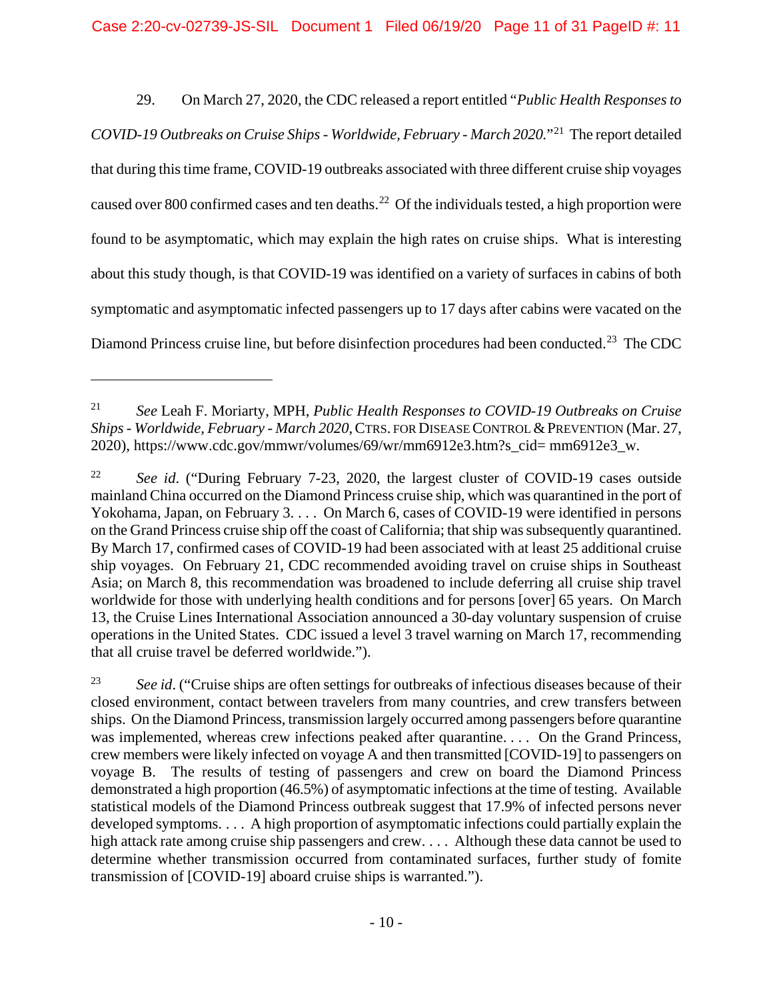29. On March 27, 2020, the CDC released a report entitled "*Public Health Responses to COVID-19 Outbreaks on Cruise Ships - Worldwide, February - March 2020.*"[21](#page-10-0) The report detailed that during this time frame, COVID-19 outbreaks associated with three different cruise ship voyages caused over 800 confirmed cases and ten deaths.<sup>22</sup> Of the individuals tested, a high proportion were found to be asymptomatic, which may explain the high rates on cruise ships. What is interesting about this study though, is that COVID-19 was identified on a variety of surfaces in cabins of both symptomatic and asymptomatic infected passengers up to 17 days after cabins were vacated on the Diamond Princess cruise line, but before disinfection procedures had been conducted.<sup>23</sup> The CDC

<span id="page-10-0"></span><sup>21</sup> *See* Leah F. Moriarty, MPH, *Public Health Responses to COVID-19 Outbreaks on Cruise Ships - Worldwide, February - March 2020*,CTRS. FOR DISEASE CONTROL &PREVENTION (Mar. 27, 2020), https://www.cdc.gov/mmwr/volumes/69/wr/mm6912e3.htm?s\_cid= mm6912e3\_w.

<span id="page-10-1"></span><sup>22</sup> *See id*. ("During February 7-23, 2020, the largest cluster of COVID-19 cases outside mainland China occurred on the Diamond Princess cruise ship, which was quarantined in the port of Yokohama, Japan, on February 3. . . . On March 6, cases of COVID-19 were identified in persons on the Grand Princess cruise ship off the coast of California; that ship was subsequently quarantined. By March 17, confirmed cases of COVID-19 had been associated with at least 25 additional cruise ship voyages. On February 21, CDC recommended avoiding travel on cruise ships in Southeast Asia; on March 8, this recommendation was broadened to include deferring all cruise ship travel worldwide for those with underlying health conditions and for persons [over] 65 years. On March 13, the Cruise Lines International Association announced a 30-day voluntary suspension of cruise operations in the United States. CDC issued a level 3 travel warning on March 17, recommending that all cruise travel be deferred worldwide.").

<span id="page-10-2"></span><sup>&</sup>lt;sup>23</sup> See id. ("Cruise ships are often settings for outbreaks of infectious diseases because of their closed environment, contact between travelers from many countries, and crew transfers between ships. On the Diamond Princess, transmission largely occurred among passengers before quarantine was implemented, whereas crew infections peaked after quarantine. . . . On the Grand Princess, crew members were likely infected on voyage A and then transmitted [COVID-19] to passengers on voyage B. The results of testing of passengers and crew on board the Diamond Princess demonstrated a high proportion (46.5%) of asymptomatic infections at the time of testing. Available statistical models of the Diamond Princess outbreak suggest that 17.9% of infected persons never developed symptoms. . . . A high proportion of asymptomatic infections could partially explain the high attack rate among cruise ship passengers and crew. . . . Although these data cannot be used to determine whether transmission occurred from contaminated surfaces, further study of fomite transmission of [COVID-19] aboard cruise ships is warranted.").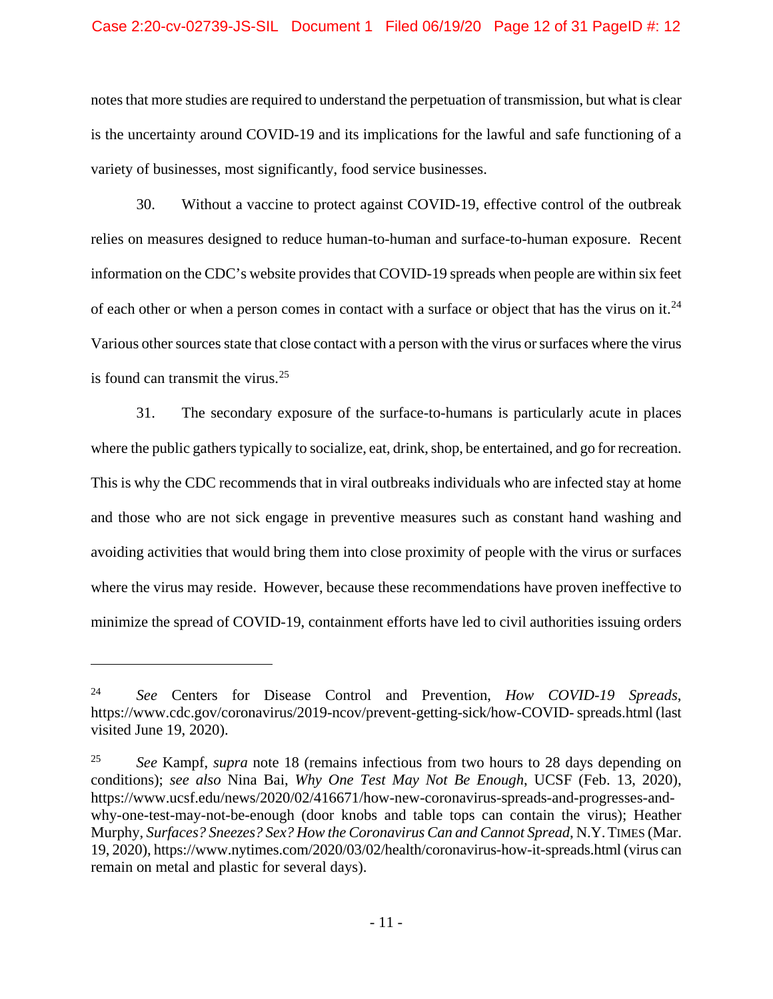#### Case 2:20-cv-02739-JS-SIL Document 1 Filed 06/19/20 Page 12 of 31 PageID #: 12

notes that more studies are required to understand the perpetuation of transmission, but what is clear is the uncertainty around COVID-19 and its implications for the lawful and safe functioning of a variety of businesses, most significantly, food service businesses.

30. Without a vaccine to protect against COVID-19, effective control of the outbreak relies on measures designed to reduce human-to-human and surface-to-human exposure. Recent information on the CDC's website provides that COVID-19 spreads when people are within six feet of each other or when a person comes in contact with a surface or object that has the virus on it.<sup>[24](#page-11-0)</sup> Various other sources state that close contact with a person with the virus or surfaces where the virus is found can transmit the virus. $25$ 

31. The secondary exposure of the surface-to-humans is particularly acute in places where the public gathers typically to socialize, eat, drink, shop, be entertained, and go for recreation. This is why the CDC recommends that in viral outbreaks individuals who are infected stay at home and those who are not sick engage in preventive measures such as constant hand washing and avoiding activities that would bring them into close proximity of people with the virus or surfaces where the virus may reside. However, because these recommendations have proven ineffective to minimize the spread of COVID-19, containment efforts have led to civil authorities issuing orders

<span id="page-11-0"></span><sup>24</sup> *See* Centers for Disease Control and Prevention, *How COVID-19 Spreads*, https://www.cdc.gov/coronavirus/2019-ncov/prevent-getting-sick/how-COVID-spreads.html (last visited June 19, 2020).

<span id="page-11-1"></span><sup>25</sup> *See* Kampf, *supra* note 18 (remains infectious from two hours to 28 days depending on conditions); *see also* Nina Bai, *Why One Test May Not Be Enough*, UCSF (Feb. 13, 2020), https://www.ucsf.edu/news/2020/02/416671/how-new-coronavirus-spreads-and-progresses-andwhy-one-test-may-not-be-enough (door knobs and table tops can contain the virus); Heather Murphy, *Surfaces? Sneezes? Sex? How the Coronavirus Can and Cannot Spread*, N.Y.TIMES (Mar. 19, 2020), https://www.nytimes.com/2020/03/02/health/coronavirus-how-it-spreads.html (virus can remain on metal and plastic for several days).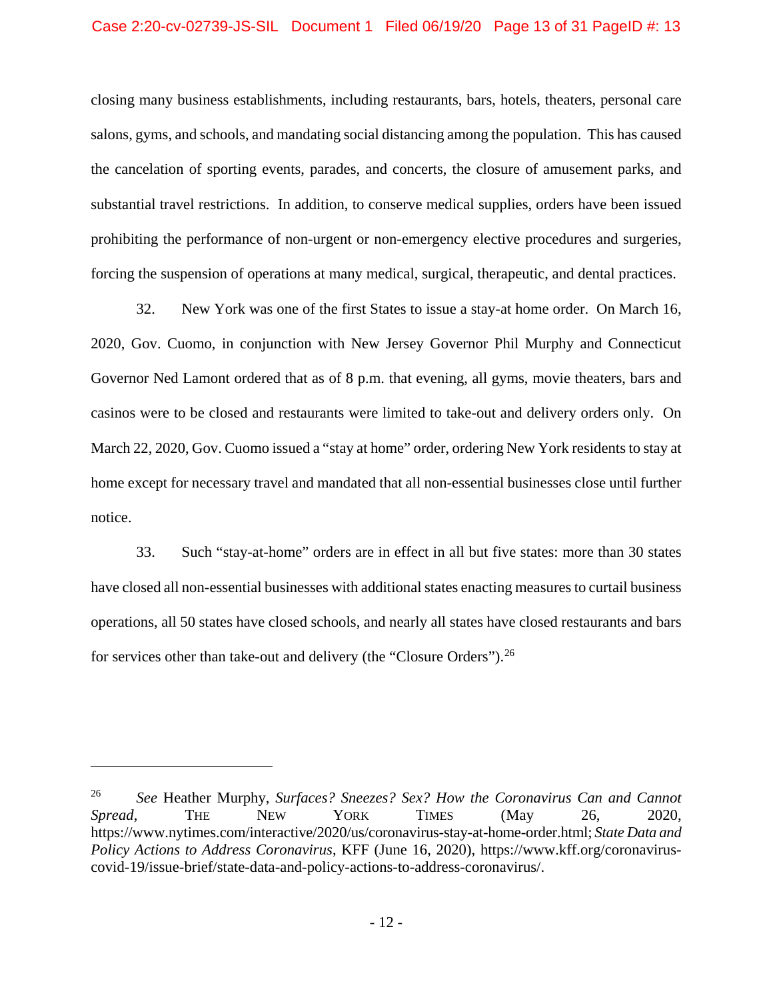closing many business establishments, including restaurants, bars, hotels, theaters, personal care salons, gyms, and schools, and mandating social distancing among the population. This has caused the cancelation of sporting events, parades, and concerts, the closure of amusement parks, and substantial travel restrictions. In addition, to conserve medical supplies, orders have been issued prohibiting the performance of non-urgent or non-emergency elective procedures and surgeries, forcing the suspension of operations at many medical, surgical, therapeutic, and dental practices.

32. New York was one of the first States to issue a stay-at home order. On March 16, 2020, Gov. Cuomo, in conjunction with New Jersey Governor Phil Murphy and Connecticut Governor Ned Lamont ordered that as of 8 p.m. that evening, all gyms, movie theaters, bars and casinos were to be closed and restaurants were limited to take-out and delivery orders only. On March 22, 2020, Gov. Cuomo issued a "stay at home" order, ordering New York residents to stay at home except for necessary travel and mandated that all non-essential businesses close until further notice.

33. Such "stay-at-home" orders are in effect in all but five states: more than 30 states have closed all non-essential businesses with additional states enacting measures to curtail business operations, all 50 states have closed schools, and nearly all states have closed restaurants and bars for services other than take-out and delivery (the "Closure Orders").<sup>[26](#page-12-0)</sup>

<span id="page-12-0"></span><sup>26</sup> *See* Heather Murphy, *Surfaces? Sneezes? Sex? How the Coronavirus Can and Cannot Spread*, THE NEW YORK TIMES (May 26, 2020, https://www.nytimes.com/interactive/2020/us/coronavirus-stay-at-home-order.html; *State Data and Policy Actions to Address Coronavirus*, KFF (June 16, 2020), https://www.kff.org/coronaviruscovid-19/issue-brief/state-data-and-policy-actions-to-address-coronavirus/.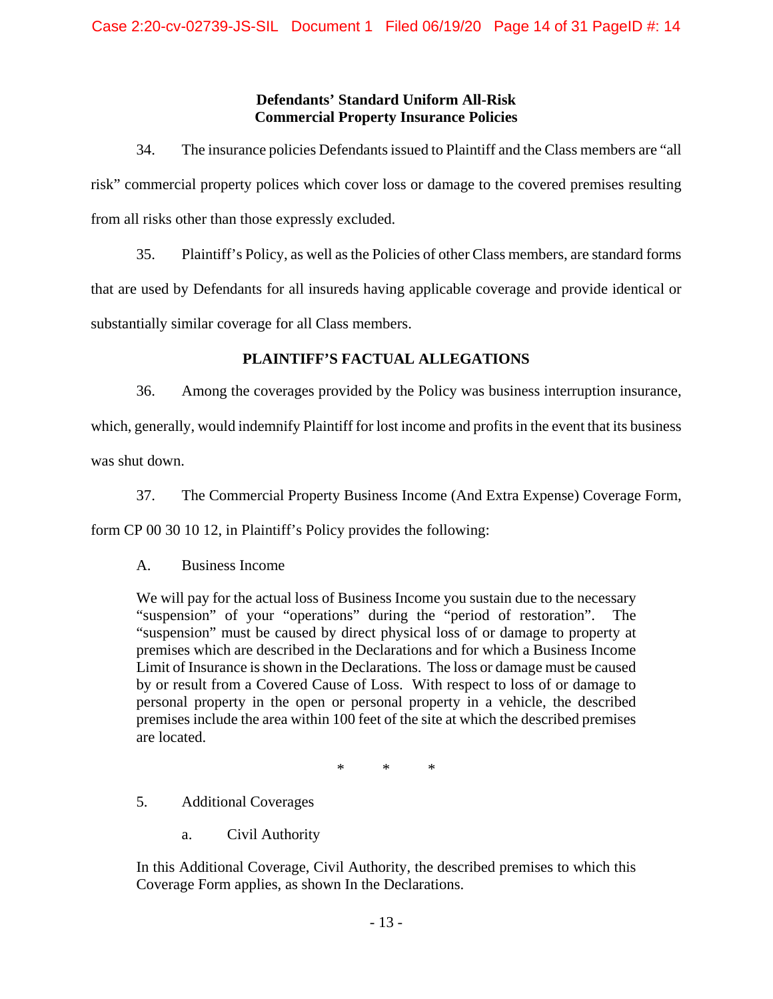## **Defendants' Standard Uniform All-Risk Commercial Property Insurance Policies**

34. The insurance policies Defendants issued to Plaintiff and the Class members are "all risk" commercial property polices which cover loss or damage to the covered premises resulting from all risks other than those expressly excluded.

35. Plaintiff's Policy, as well as the Policies of other Class members, are standard forms that are used by Defendants for all insureds having applicable coverage and provide identical or substantially similar coverage for all Class members.

## **PLAINTIFF'S FACTUAL ALLEGATIONS**

36. Among the coverages provided by the Policy was business interruption insurance,

which, generally, would indemnify Plaintiff for lost income and profits in the event that its business was shut down.

37. The Commercial Property Business Income (And Extra Expense) Coverage Form,

form CP 00 30 10 12, in Plaintiff's Policy provides the following:

A. Business Income

We will pay for the actual loss of Business Income you sustain due to the necessary "suspension" of your "operations" during the "period of restoration". The "suspension" must be caused by direct physical loss of or damage to property at premises which are described in the Declarations and for which a Business Income Limit of Insurance is shown in the Declarations. The loss or damage must be caused by or result from a Covered Cause of Loss. With respect to loss of or damage to personal property in the open or personal property in a vehicle, the described premises include the area within 100 feet of the site at which the described premises are located.

\* \* \*

5. Additional Coverages

a. Civil Authority

In this Additional Coverage, Civil Authority, the described premises to which this Coverage Form applies, as shown In the Declarations.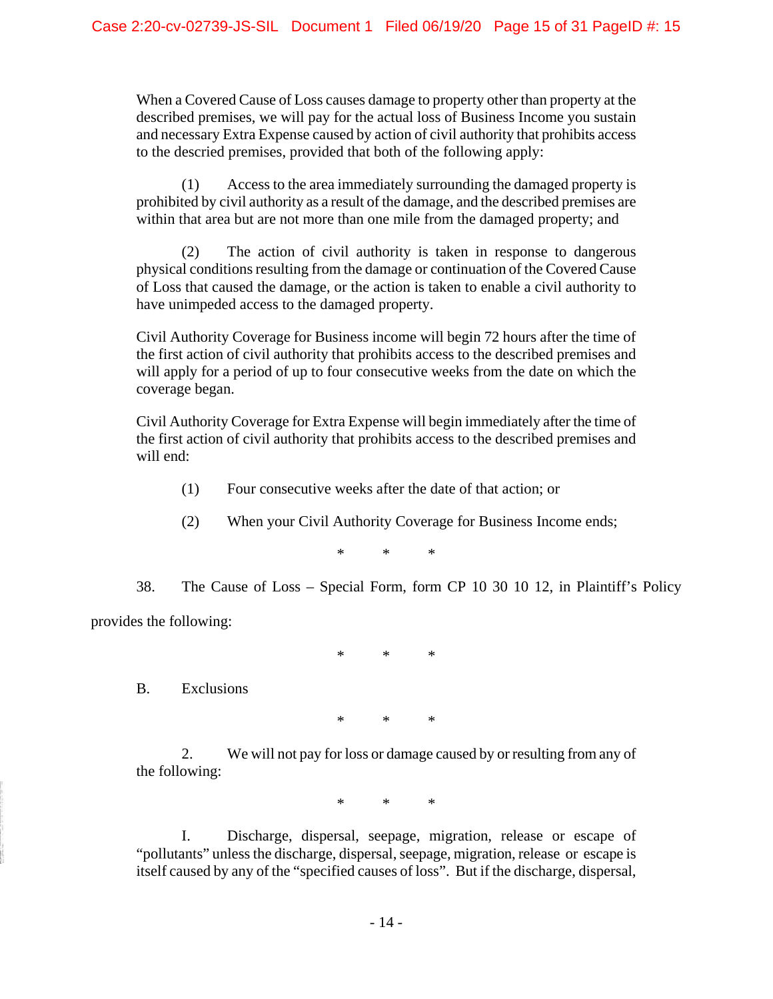When a Covered Cause of Loss causes damage to property other than property at the described premises, we will pay for the actual loss of Business Income you sustain and necessary Extra Expense caused by action of civil authority that prohibits access to the descried premises, provided that both of the following apply:

(1) Access to the area immediately surrounding the damaged property is prohibited by civil authority as a result of the damage, and the described premises are within that area but are not more than one mile from the damaged property; and

(2) The action of civil authority is taken in response to dangerous physical conditions resulting from the damage or continuation of the Covered Cause of Loss that caused the damage, or the action is taken to enable a civil authority to have unimpeded access to the damaged property.

Civil Authority Coverage for Business income will begin 72 hours after the time of the first action of civil authority that prohibits access to the described premises and will apply for a period of up to four consecutive weeks from the date on which the coverage began.

Civil Authority Coverage for Extra Expense will begin immediately after the time of the first action of civil authority that prohibits access to the described premises and will end:

- (1) Four consecutive weeks after the date of that action; or
- (2) When your Civil Authority Coverage for Business Income ends;

\* \* \*

38. The Cause of Loss – Special Form, form CP 10 30 10 12, in Plaintiff's Policy provides the following:

\* \* \*

B. Exclusions

\* \* \*

2. We will not pay for loss or damage caused by or resulting from any of the following:

\* \* \*

I. Discharge, dispersal, seepage, migration, release or escape of "pollutants" unless the discharge, dispersal, seepage, migration, release or escape is itself caused by any of the "specified causes of loss". But if the discharge, dispersal,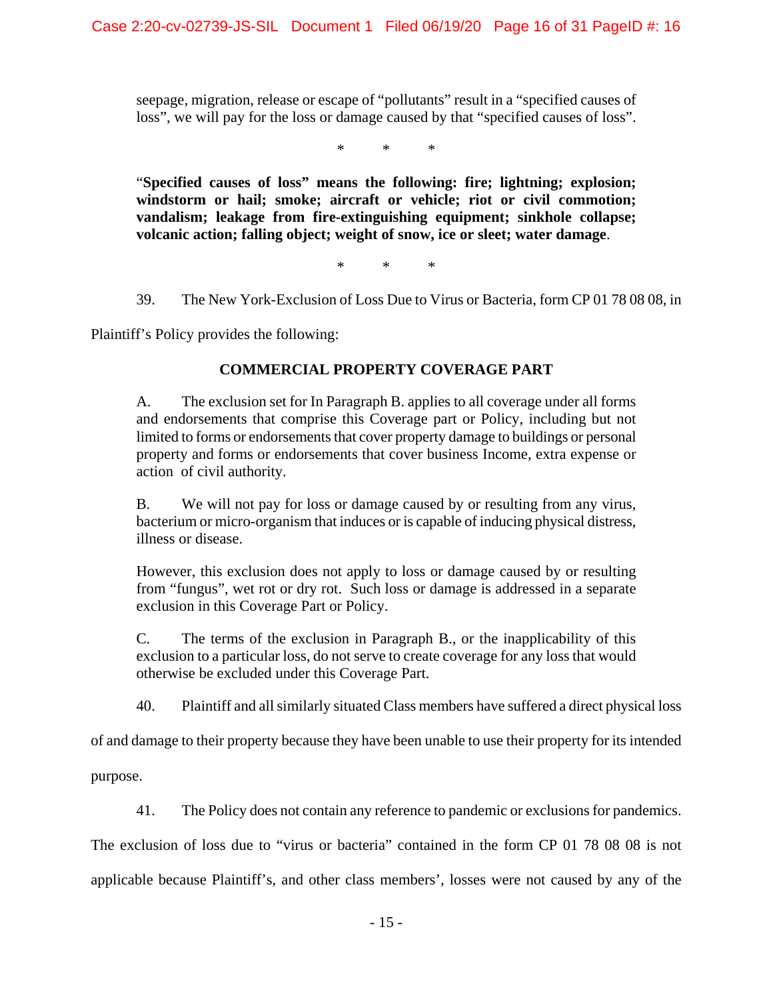seepage, migration, release or escape of "pollutants" result in a "specified causes of loss", we will pay for the loss or damage caused by that "specified causes of loss".

\* \* \*

"**Specified causes of loss" means the following: fire; lightning; explosion; windstorm or hail; smoke; aircraft or vehicle; riot or civil commotion; vandalism; leakage from fire-extinguishing equipment; sinkhole collapse; volcanic action; falling object; weight of snow, ice or sleet; water damage**.

\* \* \*

39. The New York-Exclusion of Loss Due to Virus or Bacteria, form CP 01 78 08 08, in

Plaintiff's Policy provides the following:

### **COMMERCIAL PROPERTY COVERAGE PART**

A. The exclusion set for In Paragraph B. applies to all coverage under all forms and endorsements that comprise this Coverage part or Policy, including but not limited to forms or endorsements that cover property damage to buildings or personal property and forms or endorsements that cover business Income, extra expense or action of civil authority.

B. We will not pay for loss or damage caused by or resulting from any virus, bacterium or micro-organism that induces or is capable of inducing physical distress, illness or disease.

However, this exclusion does not apply to loss or damage caused by or resulting from "fungus", wet rot or dry rot. Such loss or damage is addressed in a separate exclusion in this Coverage Part or Policy.

C. The terms of the exclusion in Paragraph B., or the inapplicability of this exclusion to a particular loss, do not serve to create coverage for any loss that would otherwise be excluded under this Coverage Part.

40. Plaintiff and all similarly situated Class members have suffered a direct physical loss

of and damage to their property because they have been unable to use their property for its intended

purpose.

41. The Policy does not contain any reference to pandemic or exclusions for pandemics.

The exclusion of loss due to "virus or bacteria" contained in the form CP 01 78 08 08 is not

applicable because Plaintiff's, and other class members', losses were not caused by any of the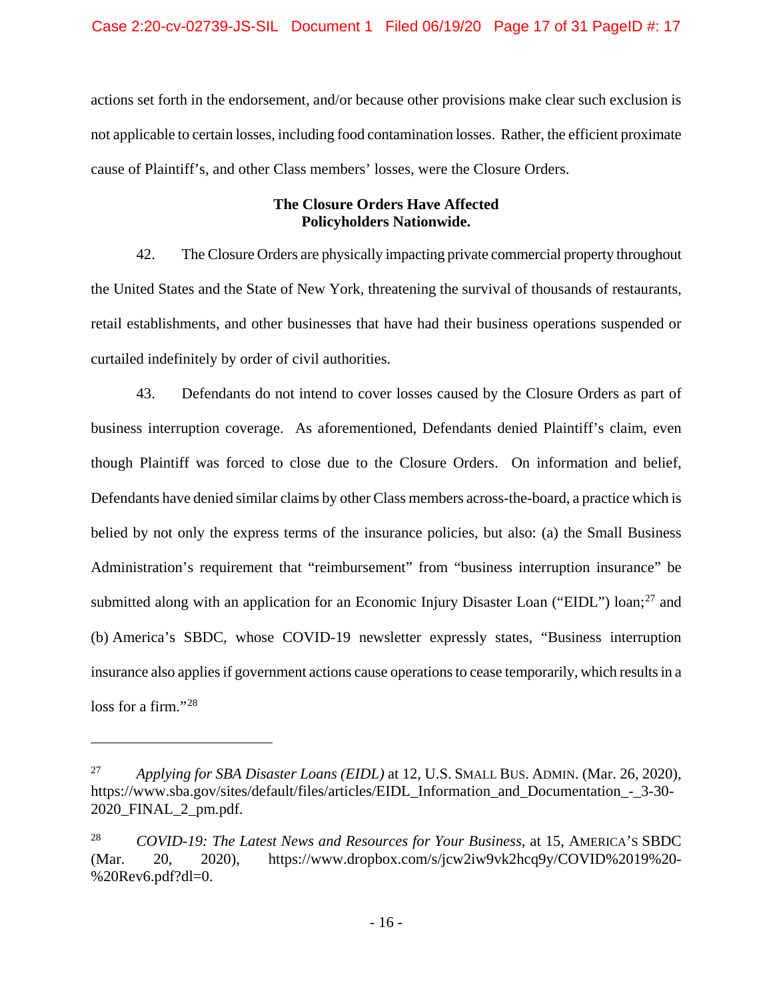actions set forth in the endorsement, and/or because other provisions make clear such exclusion is not applicable to certain losses, including food contamination losses. Rather, the efficient proximate cause of Plaintiff's, and other Class members' losses, were the Closure Orders.

## **The Closure Orders Have Affected Policyholders Nationwide.**

42. The Closure Orders are physically impacting private commercial property throughout the United States and the State of New York, threatening the survival of thousands of restaurants, retail establishments, and other businesses that have had their business operations suspended or curtailed indefinitely by order of civil authorities.

43. Defendants do not intend to cover losses caused by the Closure Orders as part of business interruption coverage. As aforementioned, Defendants denied Plaintiff's claim, even though Plaintiff was forced to close due to the Closure Orders. On information and belief, Defendants have denied similar claims by other Class members across-the-board, a practice which is belied by not only the express terms of the insurance policies, but also: (a) the Small Business Administration's requirement that "reimbursement" from "business interruption insurance" be submitted along with an application for an Economic Injury Disaster Loan ("EIDL") loan;<sup>[27](#page-16-0)</sup> and (b) America's SBDC, whose COVID-19 newsletter expressly states, "Business interruption insurance also applies if government actions cause operations to cease temporarily, which results in a loss for a firm."<sup>[28](#page-16-1)</sup>

<span id="page-16-0"></span><sup>27</sup> *Applying for SBA Disaster Loans (EIDL)* at 12, U.S. SMALL BUS. ADMIN. (Mar. 26, 2020), https://www.sba.gov/sites/default/files/articles/EIDL Information and Documentation - 3-30-2020\_FINAL\_2\_pm.pdf.

<span id="page-16-1"></span><sup>28</sup> *COVID-19: The Latest News and Resources for Your Business*, at 15, AMERICA'S SBDC (Mar. 20, 2020), https://www.dropbox.com/s/jcw2iw9vk2hcq9y/COVID%2019%20- %20Rev6.pdf?dl=0.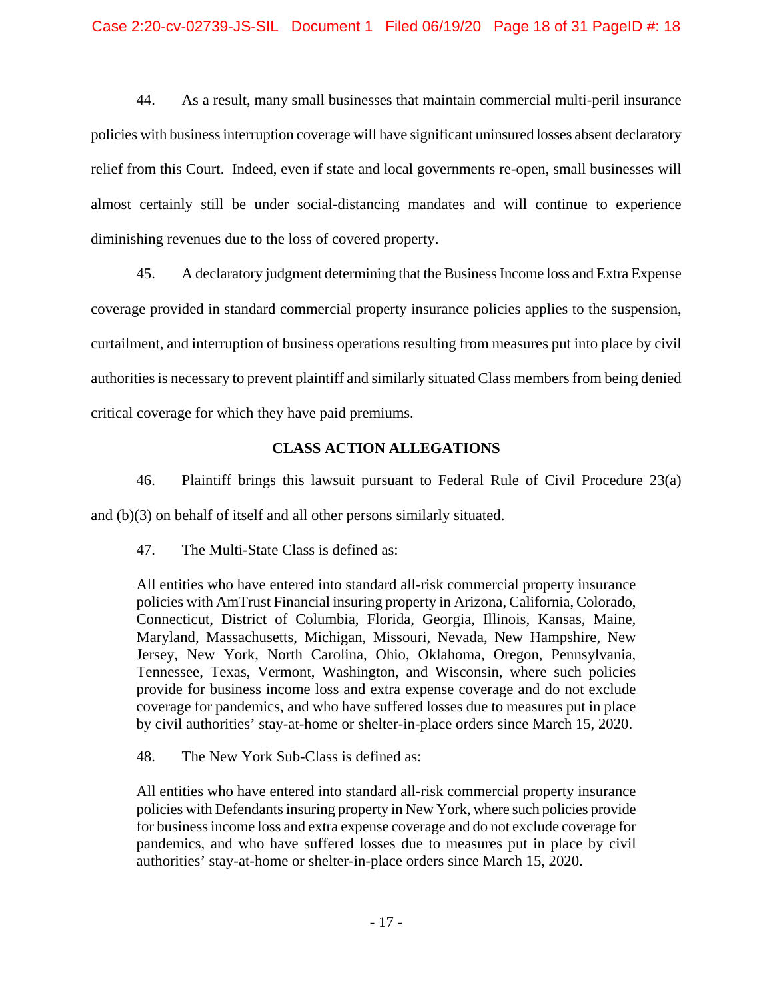44. As a result, many small businesses that maintain commercial multi-peril insurance policies with business interruption coverage will have significant uninsured losses absent declaratory relief from this Court. Indeed, even if state and local governments re-open, small businesses will almost certainly still be under social-distancing mandates and will continue to experience diminishing revenues due to the loss of covered property.

45. A declaratory judgment determining that the Business Income loss and Extra Expense coverage provided in standard commercial property insurance policies applies to the suspension, curtailment, and interruption of business operations resulting from measures put into place by civil authorities is necessary to prevent plaintiff and similarly situated Class members from being denied critical coverage for which they have paid premiums.

## **CLASS ACTION ALLEGATIONS**

46. Plaintiff brings this lawsuit pursuant to Federal Rule of Civil Procedure 23(a) and (b)(3) on behalf of itself and all other persons similarly situated.

47. The Multi-State Class is defined as:

All entities who have entered into standard all-risk commercial property insurance policies with AmTrust Financial insuring property in Arizona, California, Colorado, Connecticut, District of Columbia, Florida, Georgia, Illinois, Kansas, Maine, Maryland, Massachusetts, Michigan, Missouri, Nevada, New Hampshire, New Jersey, New York, North Carolina, Ohio, Oklahoma, Oregon, Pennsylvania, Tennessee, Texas, Vermont, Washington, and Wisconsin, where such policies provide for business income loss and extra expense coverage and do not exclude coverage for pandemics, and who have suffered losses due to measures put in place by civil authorities' stay-at-home or shelter-in-place orders since March 15, 2020.

48. The New York Sub-Class is defined as:

All entities who have entered into standard all-risk commercial property insurance policies with Defendants insuring property in New York, where such policies provide for business income loss and extra expense coverage and do not exclude coverage for pandemics, and who have suffered losses due to measures put in place by civil authorities' stay-at-home or shelter-in-place orders since March 15, 2020.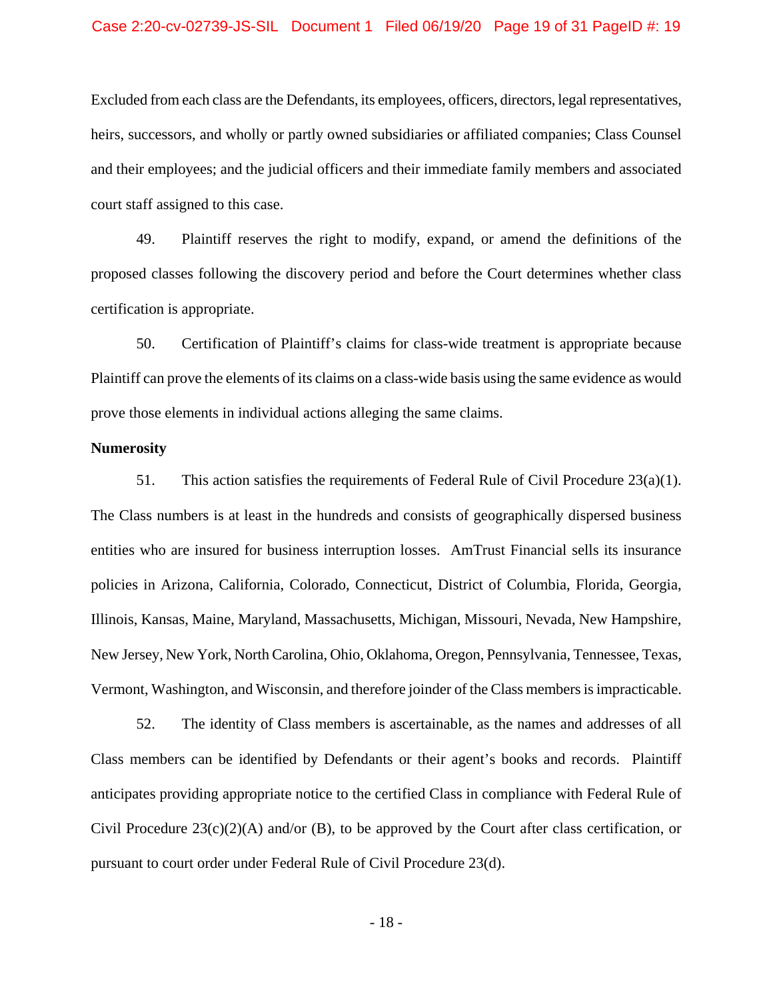#### Case 2:20-cv-02739-JS-SIL Document 1 Filed 06/19/20 Page 19 of 31 PageID #: 19

Excluded from each class are the Defendants, its employees, officers, directors, legal representatives, heirs, successors, and wholly or partly owned subsidiaries or affiliated companies; Class Counsel and their employees; and the judicial officers and their immediate family members and associated court staff assigned to this case.

49. Plaintiff reserves the right to modify, expand, or amend the definitions of the proposed classes following the discovery period and before the Court determines whether class certification is appropriate.

50. Certification of Plaintiff's claims for class-wide treatment is appropriate because Plaintiff can prove the elements of its claims on a class-wide basis using the same evidence as would prove those elements in individual actions alleging the same claims.

#### **Numerosity**

51. This action satisfies the requirements of Federal Rule of Civil Procedure 23(a)(1). The Class numbers is at least in the hundreds and consists of geographically dispersed business entities who are insured for business interruption losses. AmTrust Financial sells its insurance policies in Arizona, California, Colorado, Connecticut, District of Columbia, Florida, Georgia, Illinois, Kansas, Maine, Maryland, Massachusetts, Michigan, Missouri, Nevada, New Hampshire, New Jersey, New York, North Carolina, Ohio, Oklahoma, Oregon, Pennsylvania, Tennessee, Texas, Vermont, Washington, and Wisconsin, and therefore joinder of the Class members is impracticable.

52. The identity of Class members is ascertainable, as the names and addresses of all Class members can be identified by Defendants or their agent's books and records. Plaintiff anticipates providing appropriate notice to the certified Class in compliance with Federal Rule of Civil Procedure 23(c)(2)(A) and/or (B), to be approved by the Court after class certification, or pursuant to court order under Federal Rule of Civil Procedure 23(d).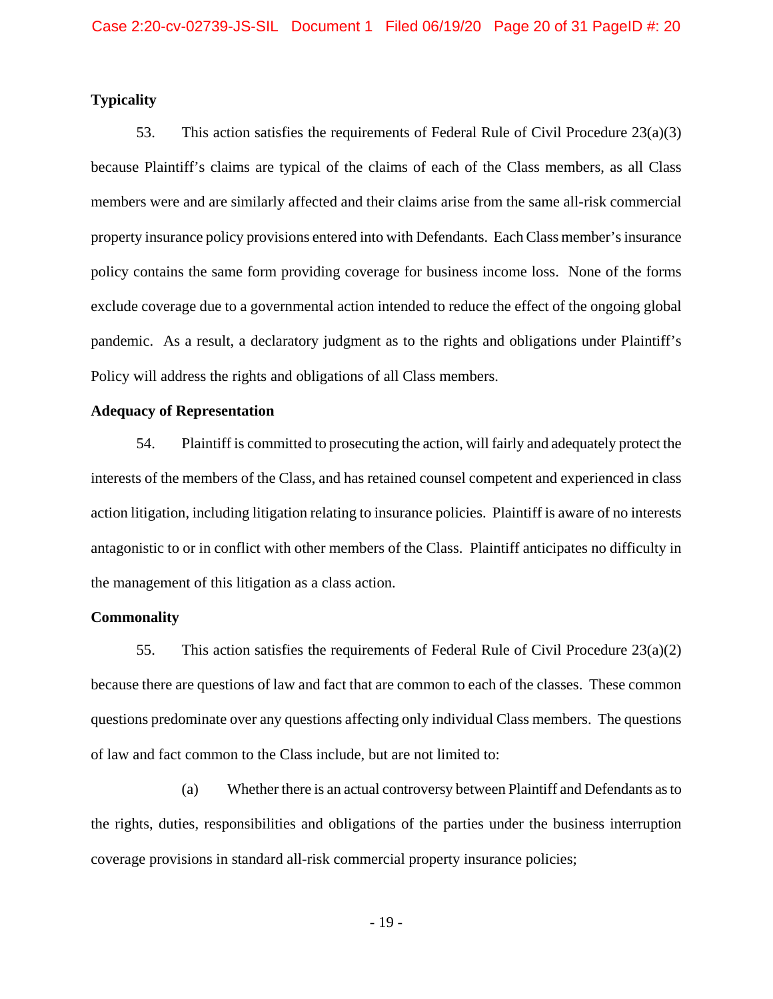#### **Typicality**

53. This action satisfies the requirements of Federal Rule of Civil Procedure 23(a)(3) because Plaintiff's claims are typical of the claims of each of the Class members, as all Class members were and are similarly affected and their claims arise from the same all-risk commercial property insurance policy provisions entered into with Defendants. Each Class member's insurance policy contains the same form providing coverage for business income loss. None of the forms exclude coverage due to a governmental action intended to reduce the effect of the ongoing global pandemic. As a result, a declaratory judgment as to the rights and obligations under Plaintiff's Policy will address the rights and obligations of all Class members.

## **Adequacy of Representation**

54. Plaintiff is committed to prosecuting the action, will fairly and adequately protect the interests of the members of the Class, and has retained counsel competent and experienced in class action litigation, including litigation relating to insurance policies. Plaintiff is aware of no interests antagonistic to or in conflict with other members of the Class. Plaintiff anticipates no difficulty in the management of this litigation as a class action.

### **Commonality**

55. This action satisfies the requirements of Federal Rule of Civil Procedure 23(a)(2) because there are questions of law and fact that are common to each of the classes. These common questions predominate over any questions affecting only individual Class members. The questions of law and fact common to the Class include, but are not limited to:

(a) Whether there is an actual controversy between Plaintiff and Defendants as to the rights, duties, responsibilities and obligations of the parties under the business interruption coverage provisions in standard all-risk commercial property insurance policies;

- 19 -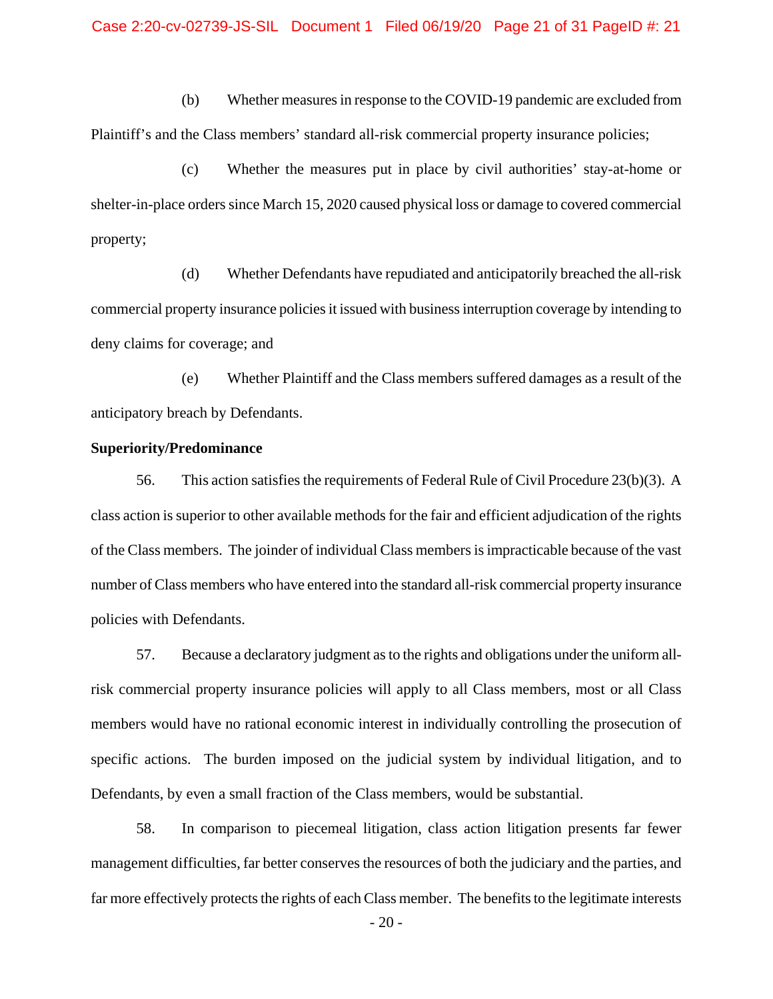(b) Whether measures in response to the COVID-19 pandemic are excluded from Plaintiff's and the Class members' standard all-risk commercial property insurance policies;

(c) Whether the measures put in place by civil authorities' stay-at-home or shelter-in-place orders since March 15, 2020 caused physical loss or damage to covered commercial property;

(d) Whether Defendants have repudiated and anticipatorily breached the all-risk commercial property insurance policies it issued with business interruption coverage by intending to deny claims for coverage; and

(e) Whether Plaintiff and the Class members suffered damages as a result of the anticipatory breach by Defendants.

#### **Superiority/Predominance**

56. This action satisfies the requirements of Federal Rule of Civil Procedure 23(b)(3). A class action is superior to other available methods for the fair and efficient adjudication of the rights of the Class members. The joinder of individual Class members is impracticable because of the vast number of Class members who have entered into the standard all-risk commercial property insurance policies with Defendants.

57. Because a declaratory judgment as to the rights and obligations under the uniform allrisk commercial property insurance policies will apply to all Class members, most or all Class members would have no rational economic interest in individually controlling the prosecution of specific actions. The burden imposed on the judicial system by individual litigation, and to Defendants, by even a small fraction of the Class members, would be substantial.

58. In comparison to piecemeal litigation, class action litigation presents far fewer management difficulties, far better conserves the resources of both the judiciary and the parties, and far more effectively protects the rights of each Class member. The benefits to the legitimate interests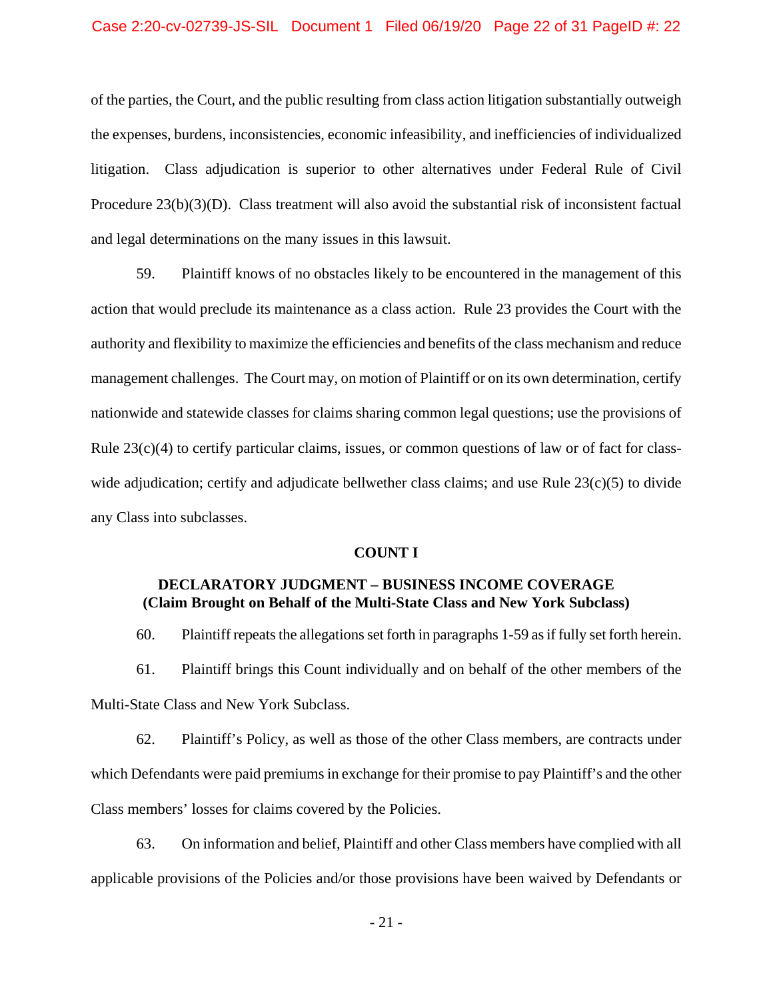of the parties, the Court, and the public resulting from class action litigation substantially outweigh the expenses, burdens, inconsistencies, economic infeasibility, and inefficiencies of individualized litigation. Class adjudication is superior to other alternatives under Federal Rule of Civil Procedure 23(b)(3)(D). Class treatment will also avoid the substantial risk of inconsistent factual and legal determinations on the many issues in this lawsuit.

59. Plaintiff knows of no obstacles likely to be encountered in the management of this action that would preclude its maintenance as a class action. Rule 23 provides the Court with the authority and flexibility to maximize the efficiencies and benefits of the class mechanism and reduce management challenges. The Court may, on motion of Plaintiff or on its own determination, certify nationwide and statewide classes for claims sharing common legal questions; use the provisions of Rule  $23(c)(4)$  to certify particular claims, issues, or common questions of law or of fact for classwide adjudication; certify and adjudicate bellwether class claims; and use Rule  $23(c)(5)$  to divide any Class into subclasses.

#### **COUNT I**

## **DECLARATORY JUDGMENT – BUSINESS INCOME COVERAGE (Claim Brought on Behalf of the Multi-State Class and New York Subclass)**

60. Plaintiff repeats the allegations set forth in paragraphs 1-59 as if fully set forth herein.

61. Plaintiff brings this Count individually and on behalf of the other members of the Multi-State Class and New York Subclass.

62. Plaintiff's Policy, as well as those of the other Class members, are contracts under which Defendants were paid premiums in exchange for their promise to pay Plaintiff's and the other Class members' losses for claims covered by the Policies.

63. On information and belief, Plaintiff and other Class members have complied with all applicable provisions of the Policies and/or those provisions have been waived by Defendants or

- 21 -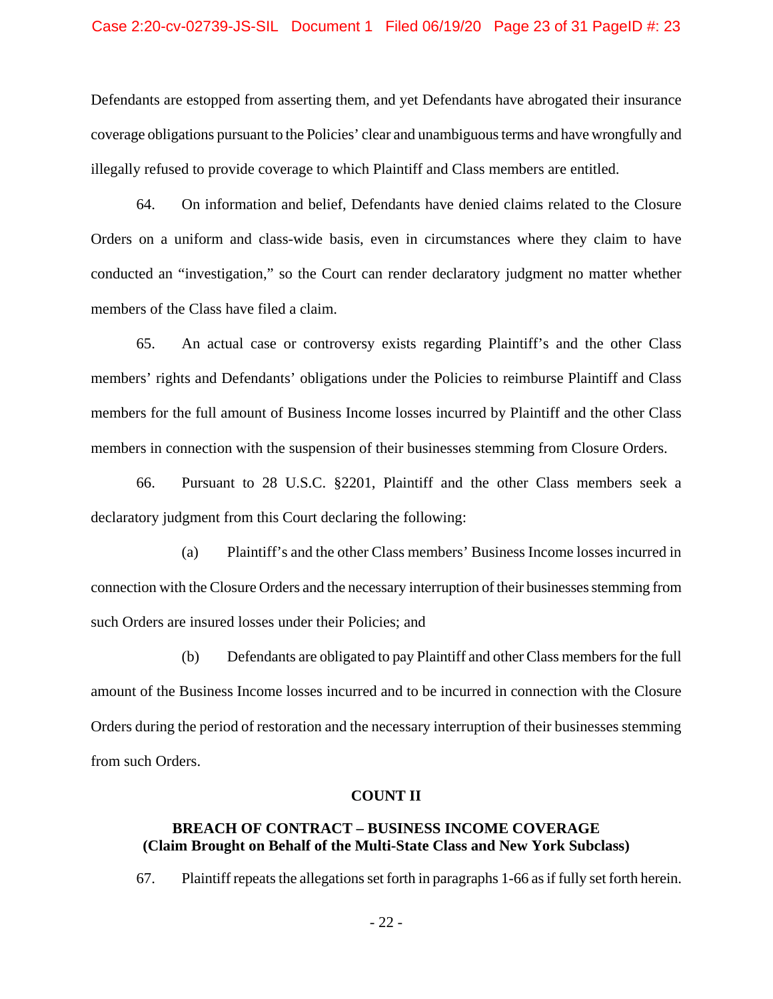#### Case 2:20-cv-02739-JS-SIL Document 1 Filed 06/19/20 Page 23 of 31 PageID #: 23

Defendants are estopped from asserting them, and yet Defendants have abrogated their insurance coverage obligations pursuant to the Policies' clear and unambiguous terms and have wrongfully and illegally refused to provide coverage to which Plaintiff and Class members are entitled.

64. On information and belief, Defendants have denied claims related to the Closure Orders on a uniform and class-wide basis, even in circumstances where they claim to have conducted an "investigation," so the Court can render declaratory judgment no matter whether members of the Class have filed a claim.

65. An actual case or controversy exists regarding Plaintiff's and the other Class members' rights and Defendants' obligations under the Policies to reimburse Plaintiff and Class members for the full amount of Business Income losses incurred by Plaintiff and the other Class members in connection with the suspension of their businesses stemming from Closure Orders.

66. Pursuant to 28 U.S.C. §2201, Plaintiff and the other Class members seek a declaratory judgment from this Court declaring the following:

(a) Plaintiff's and the other Class members' Business Income losses incurred in connection with the Closure Orders and the necessary interruption of their businesses stemming from such Orders are insured losses under their Policies; and

(b) Defendants are obligated to pay Plaintiff and other Class members for the full amount of the Business Income losses incurred and to be incurred in connection with the Closure Orders during the period of restoration and the necessary interruption of their businesses stemming from such Orders.

#### **COUNT II**

## **BREACH OF CONTRACT – BUSINESS INCOME COVERAGE (Claim Brought on Behalf of the Multi-State Class and New York Subclass)**

67. Plaintiff repeats the allegations set forth in paragraphs 1-66 as if fully set forth herein.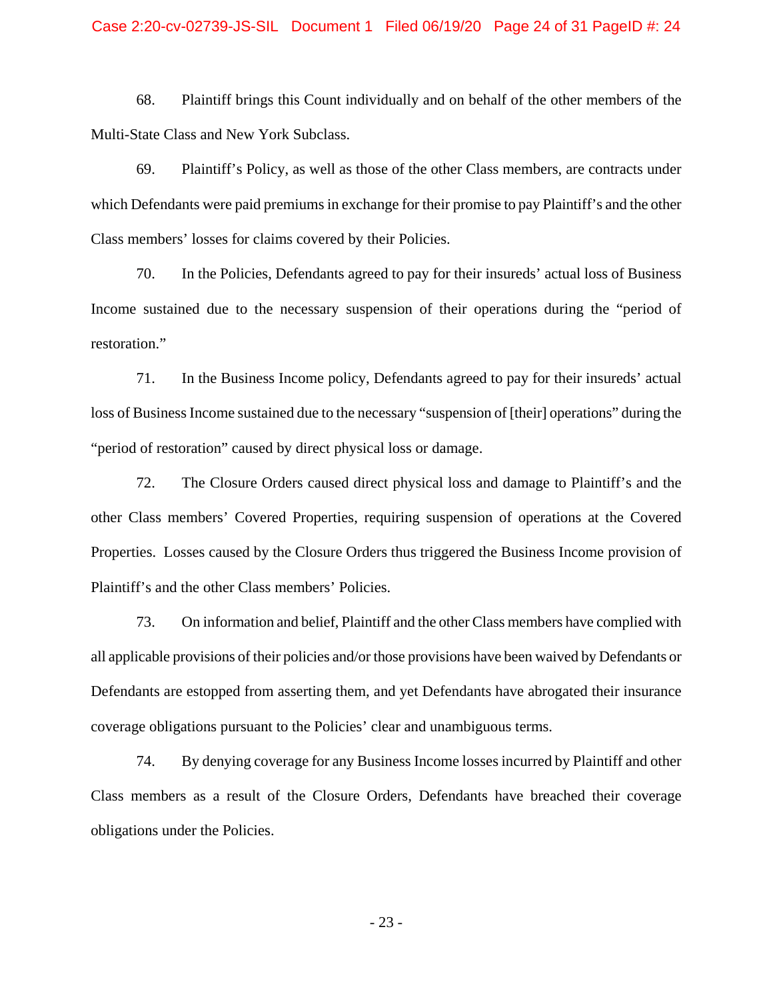#### Case 2:20-cv-02739-JS-SIL Document 1 Filed 06/19/20 Page 24 of 31 PageID #: 24

68. Plaintiff brings this Count individually and on behalf of the other members of the Multi-State Class and New York Subclass.

69. Plaintiff's Policy, as well as those of the other Class members, are contracts under which Defendants were paid premiums in exchange for their promise to pay Plaintiff's and the other Class members' losses for claims covered by their Policies.

70. In the Policies, Defendants agreed to pay for their insureds' actual loss of Business Income sustained due to the necessary suspension of their operations during the "period of restoration."

71. In the Business Income policy, Defendants agreed to pay for their insureds' actual loss of Business Income sustained due to the necessary "suspension of [their] operations" during the "period of restoration" caused by direct physical loss or damage.

72. The Closure Orders caused direct physical loss and damage to Plaintiff's and the other Class members' Covered Properties, requiring suspension of operations at the Covered Properties. Losses caused by the Closure Orders thus triggered the Business Income provision of Plaintiff's and the other Class members' Policies.

73. On information and belief, Plaintiff and the other Class members have complied with all applicable provisions of their policies and/or those provisions have been waived by Defendants or Defendants are estopped from asserting them, and yet Defendants have abrogated their insurance coverage obligations pursuant to the Policies' clear and unambiguous terms.

74. By denying coverage for any Business Income losses incurred by Plaintiff and other Class members as a result of the Closure Orders, Defendants have breached their coverage obligations under the Policies.

- 23 -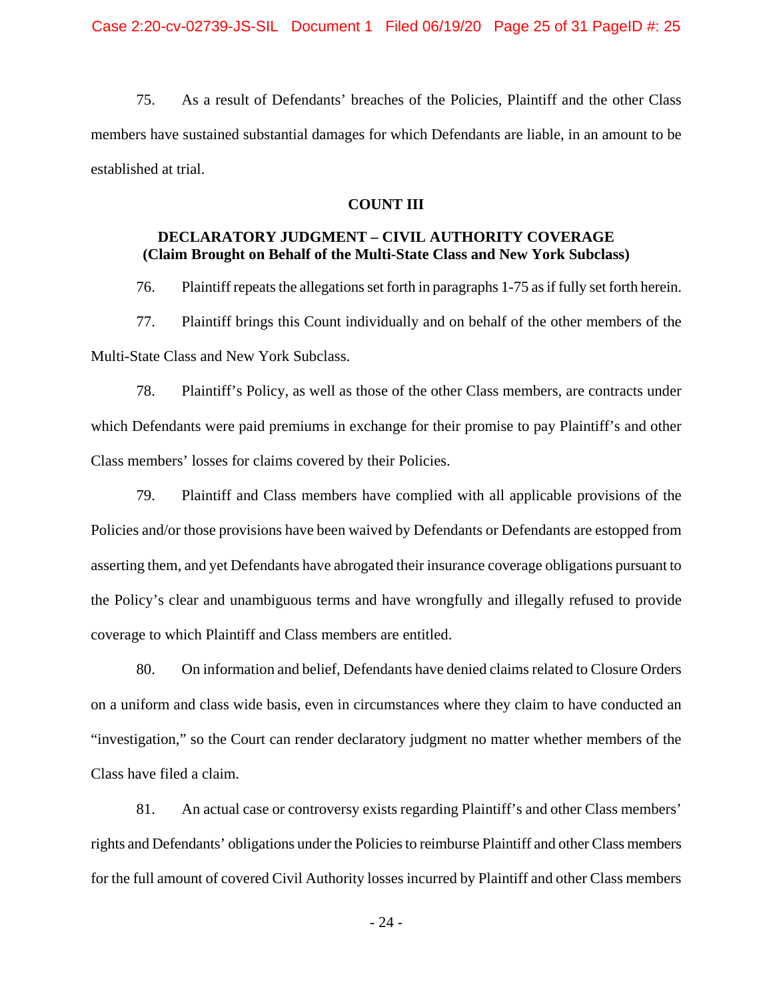75. As a result of Defendants' breaches of the Policies, Plaintiff and the other Class members have sustained substantial damages for which Defendants are liable, in an amount to be established at trial.

#### **COUNT III**

## **DECLARATORY JUDGMENT – CIVIL AUTHORITY COVERAGE (Claim Brought on Behalf of the Multi-State Class and New York Subclass)**

76. Plaintiff repeats the allegations set forth in paragraphs 1-75 as if fully set forth herein.

77. Plaintiff brings this Count individually and on behalf of the other members of the Multi-State Class and New York Subclass.

78. Plaintiff's Policy, as well as those of the other Class members, are contracts under which Defendants were paid premiums in exchange for their promise to pay Plaintiff's and other Class members' losses for claims covered by their Policies.

79. Plaintiff and Class members have complied with all applicable provisions of the Policies and/or those provisions have been waived by Defendants or Defendants are estopped from asserting them, and yet Defendants have abrogated their insurance coverage obligations pursuant to the Policy's clear and unambiguous terms and have wrongfully and illegally refused to provide coverage to which Plaintiff and Class members are entitled.

80. On information and belief, Defendants have denied claims related to Closure Orders on a uniform and class wide basis, even in circumstances where they claim to have conducted an "investigation," so the Court can render declaratory judgment no matter whether members of the Class have filed a claim.

81. An actual case or controversy exists regarding Plaintiff's and other Class members' rights and Defendants' obligations under the Policies to reimburse Plaintiff and other Class members for the full amount of covered Civil Authority losses incurred by Plaintiff and other Class members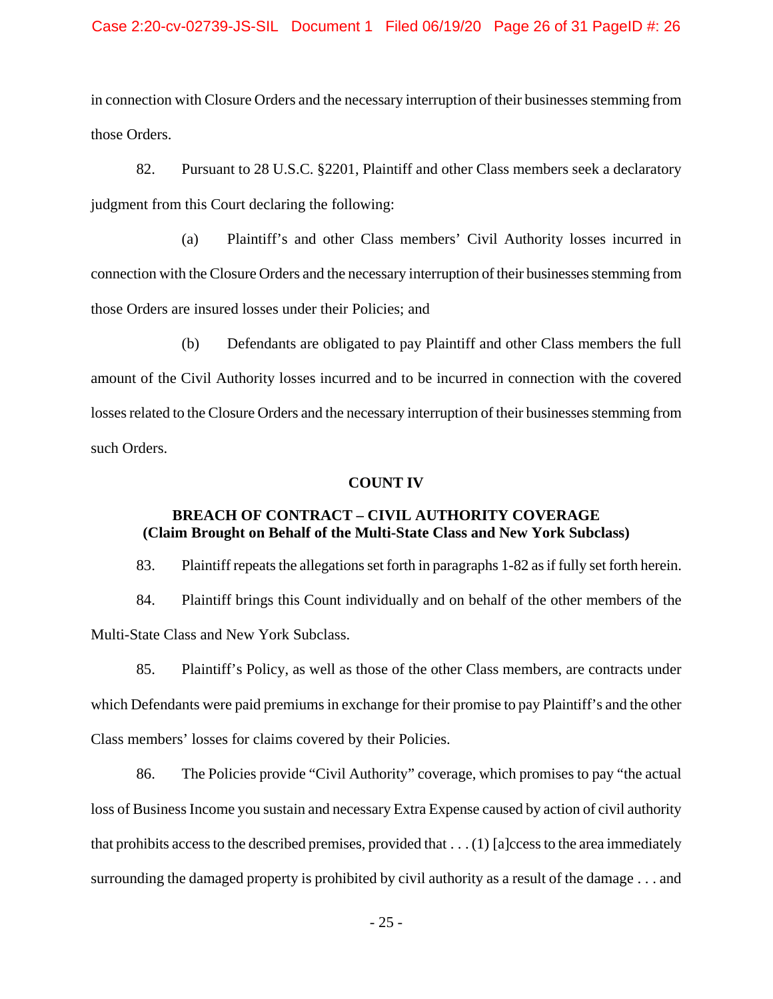#### Case 2:20-cv-02739-JS-SIL Document 1 Filed 06/19/20 Page 26 of 31 PageID #: 26

in connection with Closure Orders and the necessary interruption of their businesses stemming from those Orders.

82. Pursuant to 28 U.S.C. §2201, Plaintiff and other Class members seek a declaratory judgment from this Court declaring the following:

(a) Plaintiff's and other Class members' Civil Authority losses incurred in connection with the Closure Orders and the necessary interruption of their businesses stemming from those Orders are insured losses under their Policies; and

(b) Defendants are obligated to pay Plaintiff and other Class members the full amount of the Civil Authority losses incurred and to be incurred in connection with the covered losses related to the Closure Orders and the necessary interruption of their businesses stemming from such Orders.

#### **COUNT IV**

## **BREACH OF CONTRACT – CIVIL AUTHORITY COVERAGE (Claim Brought on Behalf of the Multi-State Class and New York Subclass)**

83. Plaintiff repeats the allegations set forth in paragraphs 1-82 as if fully set forth herein.

84. Plaintiff brings this Count individually and on behalf of the other members of the Multi-State Class and New York Subclass.

85. Plaintiff's Policy, as well as those of the other Class members, are contracts under which Defendants were paid premiums in exchange for their promise to pay Plaintiff's and the other Class members' losses for claims covered by their Policies.

86. The Policies provide "Civil Authority" coverage, which promises to pay "the actual loss of Business Income you sustain and necessary Extra Expense caused by action of civil authority that prohibits access to the described premises, provided that  $\dots(1)$  [a]ccess to the area immediately surrounding the damaged property is prohibited by civil authority as a result of the damage . . . and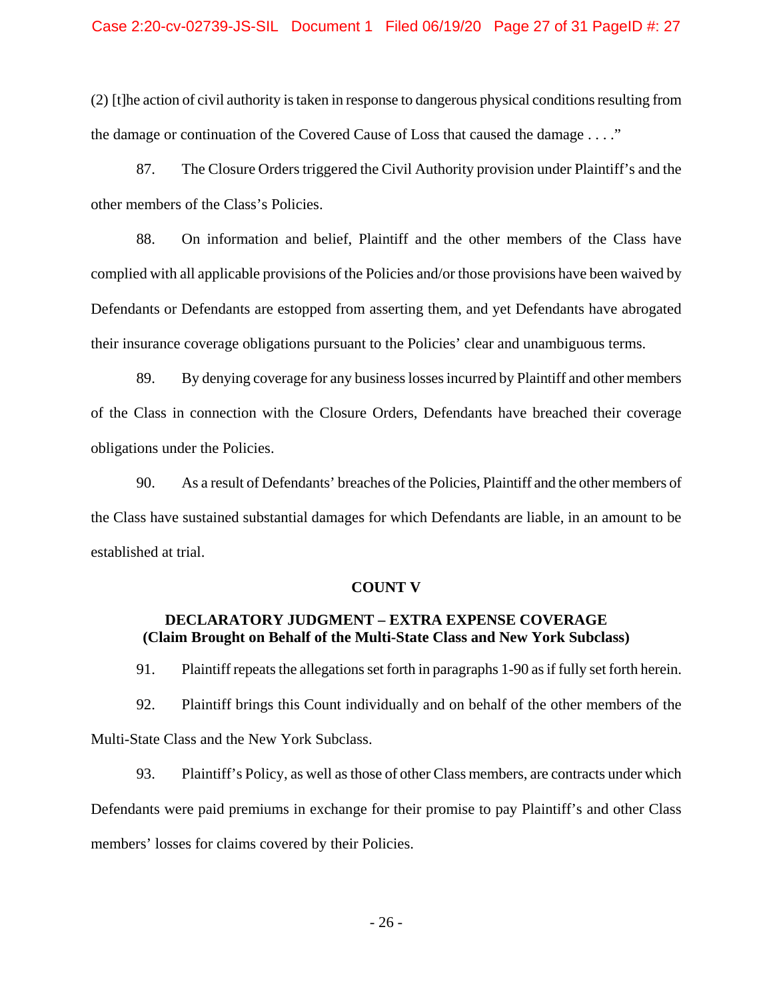#### Case 2:20-cv-02739-JS-SIL Document 1 Filed 06/19/20 Page 27 of 31 PageID #: 27

(2) [t]he action of civil authority is taken in response to dangerous physical conditions resulting from the damage or continuation of the Covered Cause of Loss that caused the damage . . . ."

87. The Closure Orders triggered the Civil Authority provision under Plaintiff's and the other members of the Class's Policies.

88. On information and belief, Plaintiff and the other members of the Class have complied with all applicable provisions of the Policies and/or those provisions have been waived by Defendants or Defendants are estopped from asserting them, and yet Defendants have abrogated their insurance coverage obligations pursuant to the Policies' clear and unambiguous terms.

89. By denying coverage for any business losses incurred by Plaintiff and other members of the Class in connection with the Closure Orders, Defendants have breached their coverage obligations under the Policies.

90. As a result of Defendants' breaches of the Policies, Plaintiff and the other members of the Class have sustained substantial damages for which Defendants are liable, in an amount to be established at trial.

#### **COUNT V**

## **DECLARATORY JUDGMENT – EXTRA EXPENSE COVERAGE (Claim Brought on Behalf of the Multi-State Class and New York Subclass)**

91. Plaintiff repeats the allegations set forth in paragraphs 1-90 as if fully set forth herein.

92. Plaintiff brings this Count individually and on behalf of the other members of the Multi-State Class and the New York Subclass.

93. Plaintiff's Policy, as well as those of other Class members, are contracts under which Defendants were paid premiums in exchange for their promise to pay Plaintiff's and other Class members' losses for claims covered by their Policies.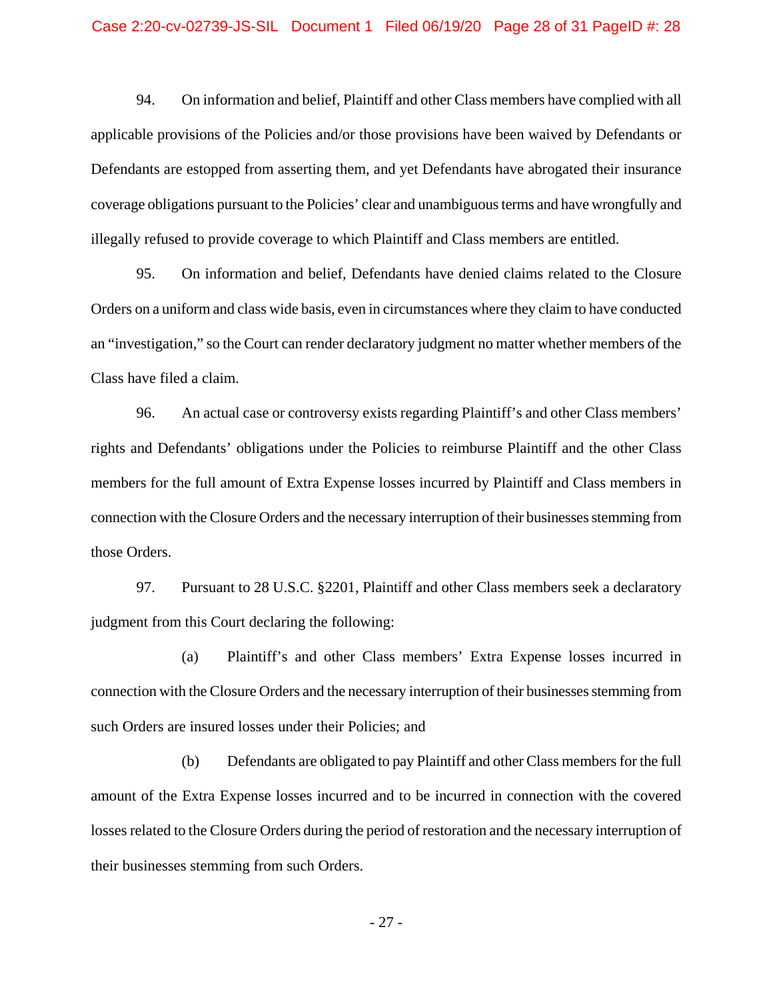94. On information and belief, Plaintiff and other Class members have complied with all applicable provisions of the Policies and/or those provisions have been waived by Defendants or Defendants are estopped from asserting them, and yet Defendants have abrogated their insurance coverage obligations pursuant to the Policies' clear and unambiguous terms and have wrongfully and illegally refused to provide coverage to which Plaintiff and Class members are entitled.

95. On information and belief, Defendants have denied claims related to the Closure Orders on a uniform and class wide basis, even in circumstances where they claim to have conducted an "investigation," so the Court can render declaratory judgment no matter whether members of the Class have filed a claim.

96. An actual case or controversy exists regarding Plaintiff's and other Class members' rights and Defendants' obligations under the Policies to reimburse Plaintiff and the other Class members for the full amount of Extra Expense losses incurred by Plaintiff and Class members in connection with the Closure Orders and the necessary interruption of their businesses stemming from those Orders.

97. Pursuant to 28 U.S.C. §2201, Plaintiff and other Class members seek a declaratory judgment from this Court declaring the following:

(a) Plaintiff's and other Class members' Extra Expense losses incurred in connection with the Closure Orders and the necessary interruption of their businesses stemming from such Orders are insured losses under their Policies; and

(b) Defendants are obligated to pay Plaintiff and other Class members for the full amount of the Extra Expense losses incurred and to be incurred in connection with the covered losses related to the Closure Orders during the period of restoration and the necessary interruption of their businesses stemming from such Orders.

- 27 -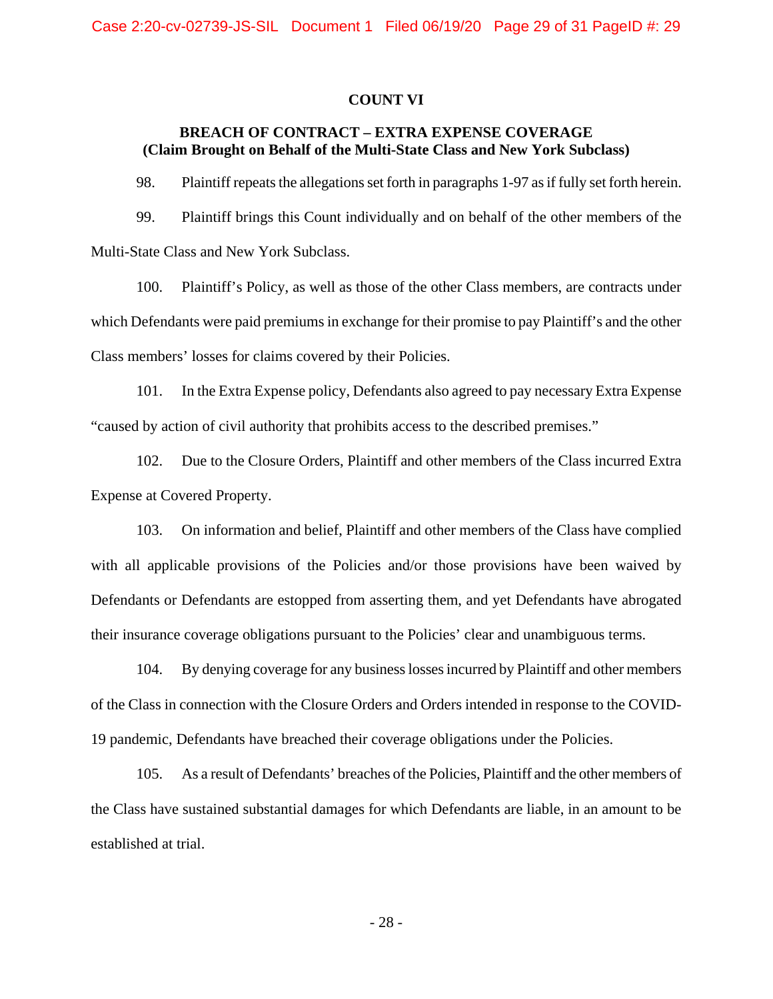#### **COUNT VI**

## **BREACH OF CONTRACT – EXTRA EXPENSE COVERAGE (Claim Brought on Behalf of the Multi-State Class and New York Subclass)**

98. Plaintiff repeats the allegations set forth in paragraphs 1-97 as if fully set forth herein.

99. Plaintiff brings this Count individually and on behalf of the other members of the Multi-State Class and New York Subclass.

100. Plaintiff's Policy, as well as those of the other Class members, are contracts under which Defendants were paid premiums in exchange for their promise to pay Plaintiff's and the other Class members' losses for claims covered by their Policies.

101. In the Extra Expense policy, Defendants also agreed to pay necessary Extra Expense "caused by action of civil authority that prohibits access to the described premises."

102. Due to the Closure Orders, Plaintiff and other members of the Class incurred Extra Expense at Covered Property.

103. On information and belief, Plaintiff and other members of the Class have complied with all applicable provisions of the Policies and/or those provisions have been waived by Defendants or Defendants are estopped from asserting them, and yet Defendants have abrogated their insurance coverage obligations pursuant to the Policies' clear and unambiguous terms.

104. By denying coverage for any business losses incurred by Plaintiff and other members of the Class in connection with the Closure Orders and Orders intended in response to the COVID-19 pandemic, Defendants have breached their coverage obligations under the Policies.

105. As a result of Defendants' breaches of the Policies, Plaintiff and the other members of the Class have sustained substantial damages for which Defendants are liable, in an amount to be established at trial.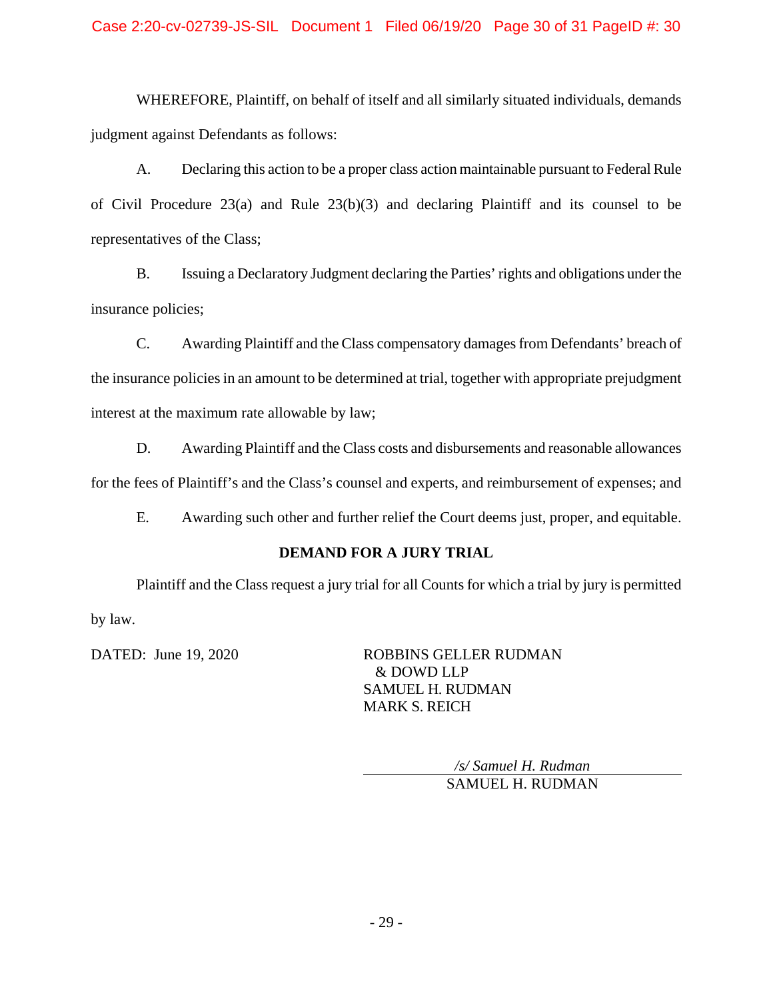WHEREFORE, Plaintiff, on behalf of itself and all similarly situated individuals, demands judgment against Defendants as follows:

A. Declaring this action to be a proper class action maintainable pursuant to Federal Rule of Civil Procedure 23(a) and Rule 23(b)(3) and declaring Plaintiff and its counsel to be representatives of the Class;

B. Issuing a Declaratory Judgment declaring the Parties' rights and obligations under the insurance policies;

C. Awarding Plaintiff and the Class compensatory damages from Defendants' breach of the insurance policies in an amount to be determined at trial, together with appropriate prejudgment interest at the maximum rate allowable by law;

D. Awarding Plaintiff and the Class costs and disbursements and reasonable allowances for the fees of Plaintiff's and the Class's counsel and experts, and reimbursement of expenses; and

E. Awarding such other and further relief the Court deems just, proper, and equitable.

## **DEMAND FOR A JURY TRIAL**

Plaintiff and the Class request a jury trial for all Counts for which a trial by jury is permitted by law.

DATED: June 19, 2020 ROBBINS GELLER RUDMAN & DOWD LLP SAMUEL H. RUDMAN MARK S. REICH

> */s/ Samuel H. Rudman* SAMUEL H. RUDMAN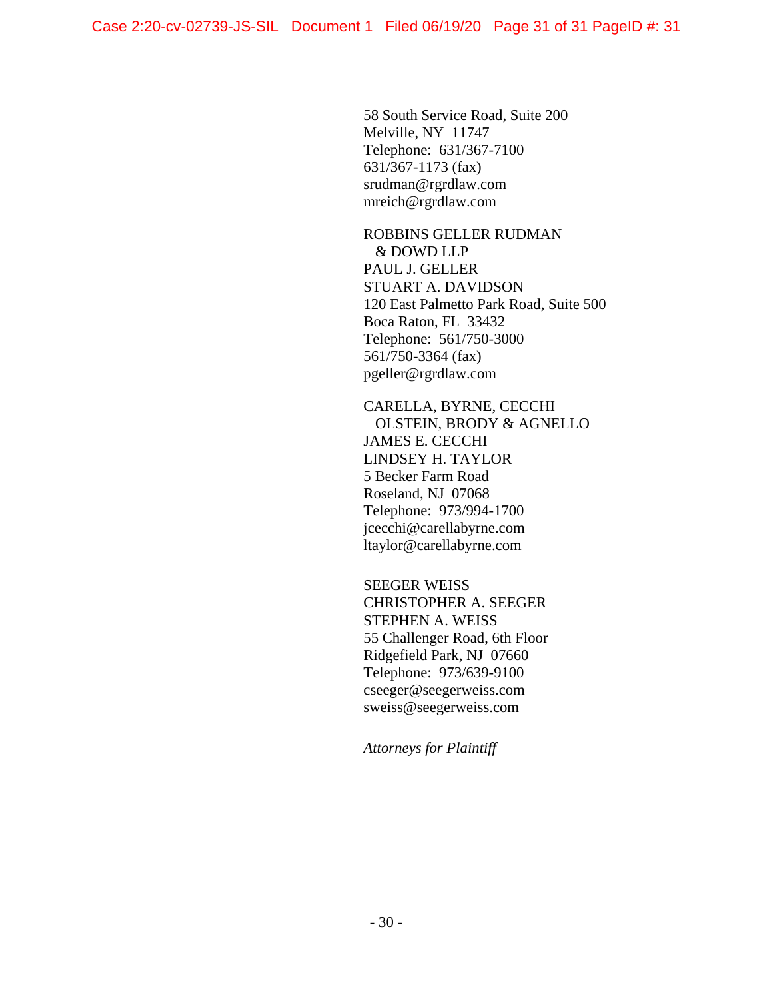58 South Service Road, Suite 200 Melville, NY 11747 Telephone: 631/367-7100 631/367-1173 (fax) srudman@rgrdlaw.com mreich@rgrdlaw.com

ROBBINS GELLER RUDMAN & DOWD LLP PAUL J. GELLER STUART A. DAVIDSON 120 East Palmetto Park Road, Suite 500 Boca Raton, FL 33432 Telephone: 561/750-3000 561/750-3364 (fax) pgeller@rgrdlaw.com

CARELLA, BYRNE, CECCHI OLSTEIN, BRODY & AGNELLO JAMES E. CECCHI LINDSEY H. TAYLOR 5 Becker Farm Road Roseland, NJ 07068 Telephone: 973/994-1700 jcecchi@carellabyrne.com ltaylor@carellabyrne.com

SEEGER WEISS CHRISTOPHER A. SEEGER STEPHEN A. WEISS 55 Challenger Road, 6th Floor Ridgefield Park, NJ 07660 Telephone: 973/639-9100 cseeger@seegerweiss.com sweiss@seegerweiss.com

*Attorneys for Plaintiff*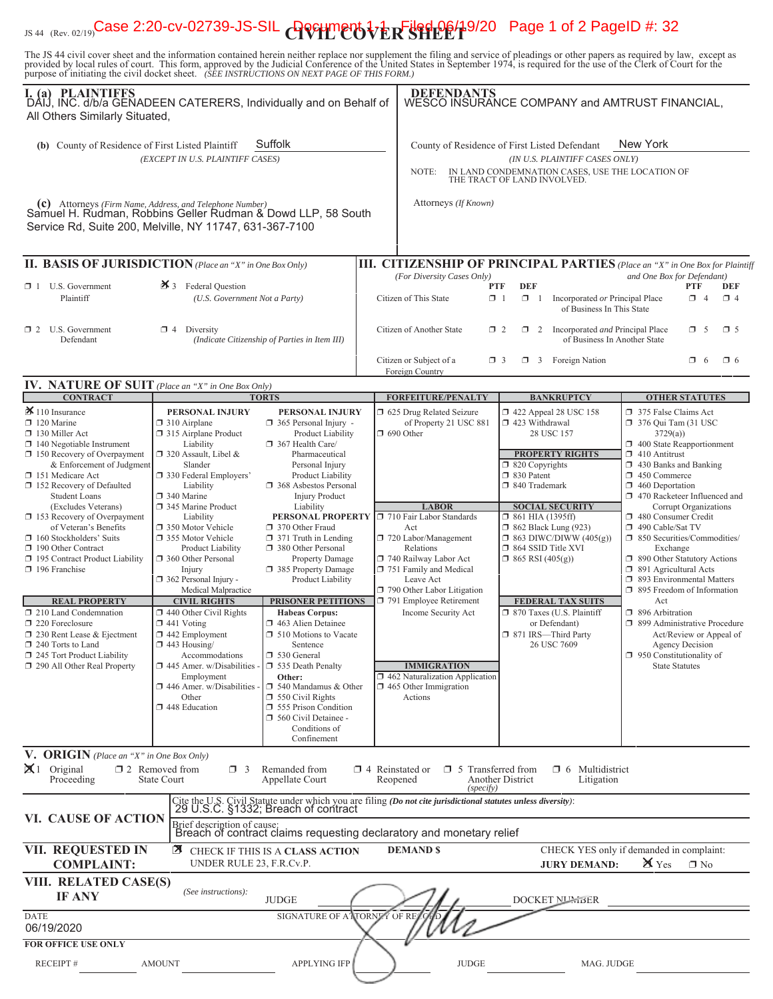# <sub>JS 44 (Rev. 02/19)</sub>Case 2:20-cv-02739-JS-SIL **APGHMEP5** $\frac{1}{2}$ **Filed 06/1**9/20 Page 1 of 2 PageID #: 32

The JS 44 civil cover sheet and the information contained herein neither replace nor supplement the filing and service of pleadings or other papers as required by law, except as provided by local rules of court. This form,

| I. (a) PLAINTIFFS<br>DAIJ, INC. d/b/a GENADEEN CATERERS, Individually and on Behalf of<br>All Others Similarly Situated,                                                                                                                          |                                                                                                                                                                                         |                                                                                                                                                                                                         | <b>DEFENDANTS</b><br>WESCO INSURANCE COMPANY and AMTRUST FINANCIAL,                                                                                                                    |                                                                                 |                                                                                          |                                                                                                                                                                                                                                                |                 |                        |
|---------------------------------------------------------------------------------------------------------------------------------------------------------------------------------------------------------------------------------------------------|-----------------------------------------------------------------------------------------------------------------------------------------------------------------------------------------|---------------------------------------------------------------------------------------------------------------------------------------------------------------------------------------------------------|----------------------------------------------------------------------------------------------------------------------------------------------------------------------------------------|---------------------------------------------------------------------------------|------------------------------------------------------------------------------------------|------------------------------------------------------------------------------------------------------------------------------------------------------------------------------------------------------------------------------------------------|-----------------|------------------------|
| (b) County of Residence of First Listed Plaintiff                                                                                                                                                                                                 | (EXCEPT IN U.S. PLAINTIFF CASES)                                                                                                                                                        | Suffolk                                                                                                                                                                                                 | County of Residence of First Listed Defendant<br>NOTE:                                                                                                                                 | THE TRACT OF LAND INVOLVED.                                                     | (IN U.S. PLAINTIFF CASES ONLY)                                                           | New York<br>IN LAND CONDEMNATION CASES, USE THE LOCATION OF                                                                                                                                                                                    |                 |                        |
| (c) Attorneys (Firm Name, Address, and Telephone Number)<br>Samuel H. Rudman, Robbins Geller Rudman & Dowd LLP, 58 South<br>Service Rd, Suite 200, Melville, NY 11747, 631-367-7100                                                               |                                                                                                                                                                                         |                                                                                                                                                                                                         | Attorneys (If Known)                                                                                                                                                                   |                                                                                 |                                                                                          |                                                                                                                                                                                                                                                |                 |                        |
| <b>II. BASIS OF JURISDICTION</b> (Place an "X" in One Box Only)                                                                                                                                                                                   |                                                                                                                                                                                         |                                                                                                                                                                                                         | <b>III. CITIZENSHIP OF PRINCIPAL PARTIES</b> (Place an "X" in One Box for Plaintiff                                                                                                    |                                                                                 |                                                                                          |                                                                                                                                                                                                                                                |                 |                        |
| $\Box$ 1 U.S. Government<br>Plaintiff                                                                                                                                                                                                             | $\mathbf{\times}$ 3 Federal Question<br>(U.S. Government Not a Party)                                                                                                                   |                                                                                                                                                                                                         | (For Diversity Cases Only)<br>Citizen of This State                                                                                                                                    | DEF<br><b>PTF</b><br>$\Box$ 1<br>$\Box$ 1                                       | Incorporated or Principal Place<br>of Business In This State                             | and One Box for Defendant)                                                                                                                                                                                                                     | PTF<br>$\Box$ 4 | <b>DEF</b><br>$\Box$ 4 |
| $\Box$ 2 U.S. Government<br>Defendant                                                                                                                                                                                                             | $\Box$ 4 Diversity                                                                                                                                                                      | (Indicate Citizenship of Parties in Item III)                                                                                                                                                           | Citizen of Another State                                                                                                                                                               | $\Box$ 2                                                                        | $\Box$ 2 Incorporated <i>and</i> Principal Place<br>of Business In Another State         |                                                                                                                                                                                                                                                | $\Box$ 5        | $\square$ 5            |
|                                                                                                                                                                                                                                                   |                                                                                                                                                                                         |                                                                                                                                                                                                         | Citizen or Subject of a<br>Foreign Country                                                                                                                                             | $\Box$ 3                                                                        | $\Box$ 3 Foreign Nation                                                                  |                                                                                                                                                                                                                                                | $\Box$ 6        | $\Box$ 6               |
| <b>IV. NATURE OF SUIT</b> (Place an "X" in One Box Only)                                                                                                                                                                                          |                                                                                                                                                                                         |                                                                                                                                                                                                         |                                                                                                                                                                                        |                                                                                 |                                                                                          |                                                                                                                                                                                                                                                |                 |                        |
| <b>CONTRACT</b>                                                                                                                                                                                                                                   |                                                                                                                                                                                         | <b>TORTS</b>                                                                                                                                                                                            | <b>FORFEITURE/PENALTY</b>                                                                                                                                                              |                                                                                 | <b>BANKRUPTCY</b>                                                                        | <b>OTHER STATUTES</b>                                                                                                                                                                                                                          |                 |                        |
| $\mathbf{\times}$ 110 Insurance<br>120 Marine<br>130 Miller Act<br>$\Box$ 140 Negotiable Instrument<br>$\Box$ 150 Recovery of Overpayment<br>& Enforcement of Judgment<br>151 Medicare Act<br>□ 152 Recovery of Defaulted<br><b>Student Loans</b> | PERSONAL INJURY<br>$\Box$ 310 Airplane<br>315 Airplane Product<br>Liability<br>$\Box$ 320 Assault, Libel &<br>Slander<br>330 Federal Employers'<br>Liability<br>340 Marine              | PERSONAL INJURY<br>365 Personal Injury -<br>Product Liability<br>367 Health Care/<br>Pharmaceutical<br>Personal Injury<br>Product Liability<br>368 Asbestos Personal<br><b>Injury Product</b>           | □ 625 Drug Related Seizure<br>of Property 21 USC 881<br>$\Box$ 690 Other                                                                                                               | 423 Withdrawal<br>$\Box$ 820 Copyrights<br>□ 830 Patent<br>□ 840 Trademark      | 158 122 Appeal 28 USC 158<br>28 USC 157<br><b>PROPERTY RIGHTS</b>                        | 375 False Claims Act<br>376 Qui Tam (31 USC<br>3729(a)<br>$\Box$ 400 State Reapportionment<br>$\Box$ 410 Antitrust<br>$\Box$ 430 Banks and Banking<br>$\Box$ 450 Commerce<br>$\Box$ 460 Deportation<br>1 470 Racketeer Influenced and          |                 |                        |
| (Excludes Veterans)<br>153 Recovery of Overpayment<br>of Veteran's Benefits<br>160 Stockholders' Suits<br>190 Other Contract<br>195 Contract Product Liability<br>196 Franchise                                                                   | 345 Marine Product<br>Liability<br>□ 350 Motor Vehicle<br>355 Motor Vehicle<br><b>Product Liability</b><br>360 Other Personal<br>Injury<br>362 Personal Injury -<br>Medical Malpractice | Liability<br>PERSONAL PROPERTY □ 710 Fair Labor Standards<br>370 Other Fraud<br>$\Box$ 371 Truth in Lending<br>380 Other Personal<br><b>Property Damage</b><br>385 Property Damage<br>Product Liability | <b>LABOR</b><br>Act<br>720 Labor/Management<br>Relations<br>740 Railway Labor Act<br>751 Family and Medical<br>Leave Act<br>790 Other Labor Litigation                                 | $\Box$ 861 HIA (1395ff)<br>$\Box$ 864 SSID Title XVI<br>$\Box$ 865 RSI (405(g)) | <b>SOCIAL SECURITY</b><br><b>1</b> 862 Black Lung (923)<br>$\Box$ 863 DIWC/DIWW (405(g)) | Corrupt Organizations<br>480 Consumer Credit<br>490 Cable/Sat TV<br>51 850 Securities/Commodities/<br>Exchange<br>1 890 Other Statutory Actions<br>□ 891 Agricultural Acts<br>5 893 Environmental Matters<br>$\Box$ 895 Freedom of Information |                 |                        |
| <b>REAL PROPERTY</b>                                                                                                                                                                                                                              | <b>CIVIL RIGHTS</b>                                                                                                                                                                     | PRISONER PETITIONS                                                                                                                                                                                      | 791 Employee Retirement                                                                                                                                                                |                                                                                 | <b>FEDERAL TAX SUITS</b>                                                                 | Act                                                                                                                                                                                                                                            |                 |                        |
| 210 Land Condemnation<br>220 Foreclosure<br>□ 230 Rent Lease & Ejectment<br>□ 240 Torts to Land<br>245 Tort Product Liability<br>290 All Other Real Property                                                                                      | $\Box$ 440 Other Civil Rights<br>$\Box$ 441 Voting<br>$\Box$ 442 Employment<br>$\Box$ 443 Housing/<br>Accommodations<br>$\Box$ 445 Amer. w/Disabilities                                 | <b>Habeas Corpus:</b><br>$\Box$ 463 Alien Detainee<br><b>J</b> 510 Motions to Vacate<br>Sentence<br>530 General<br>535 Death Penalty                                                                    | Income Security Act<br><b>IMMIGRATION</b>                                                                                                                                              |                                                                                 | □ 870 Taxes (U.S. Plaintiff<br>or Defendant)<br>□ 871 IRS-Third Party<br>26 USC 7609     | □ 896 Arbitration<br>□ 899 Administrative Procedure<br>Act/Review or Appeal of<br>Agency Decision<br>$\Box$ 950 Constitutionality of<br><b>State Statutes</b>                                                                                  |                 |                        |
|                                                                                                                                                                                                                                                   | Employment<br>446 Amer. w/Disabilities -<br>Other<br>448 Education                                                                                                                      | Other:<br>$\Box$ 540 Mandamus & Other<br>$\Box$ 550 Civil Rights<br>555 Prison Condition<br>560 Civil Detainee -<br>Conditions of<br>Confinement                                                        | 462 Naturalization Application<br>$\Box$ 465 Other Immigration<br>Actions                                                                                                              |                                                                                 |                                                                                          |                                                                                                                                                                                                                                                |                 |                        |
| V. ORIGIN (Place an "X" in One Box Only)<br>$\mathbb{X}$ 1 Original<br>Proceeding                                                                                                                                                                 | $\square$ 2 Removed from<br>$\Box$ 3<br><b>State Court</b>                                                                                                                              | Remanded from<br>Appellate Court                                                                                                                                                                        | $\Box$ 4 Reinstated or<br>□ 5 Transferred from<br>Reopened<br>(specify)                                                                                                                | <b>Another District</b>                                                         | $\Box$ 6 Multidistrict<br>Litigation                                                     |                                                                                                                                                                                                                                                |                 |                        |
| VI. CAUSE OF ACTION                                                                                                                                                                                                                               | Brief description of cause:                                                                                                                                                             | 29 U.S.C. §1332; Breach of contract                                                                                                                                                                     | Cite the U.S. Civil Statute under which you are filing (Do not cite jurisdictional statutes unless diversity):<br>Breach of contract claims requesting declaratory and monetary relief |                                                                                 |                                                                                          |                                                                                                                                                                                                                                                |                 |                        |
| VII. REQUESTED IN<br><b>COMPLAINT:</b>                                                                                                                                                                                                            | UNDER RULE 23, F.R.Cv.P.                                                                                                                                                                | <b>E</b> CHECK IF THIS IS A CLASS ACTION                                                                                                                                                                | <b>DEMAND \$</b>                                                                                                                                                                       |                                                                                 | <b>JURY DEMAND:</b>                                                                      | CHECK YES only if demanded in complaint:<br>$\mathbf{X}$ Yes                                                                                                                                                                                   | $\Box$ No       |                        |
| VIII. RELATED CASE(S)<br><b>IF ANY</b>                                                                                                                                                                                                            | (See instructions):                                                                                                                                                                     | <b>JUDGE</b>                                                                                                                                                                                            |                                                                                                                                                                                        |                                                                                 | <b>DOCKET NUMBER</b>                                                                     |                                                                                                                                                                                                                                                |                 |                        |
| <b>DATE</b><br>06/19/2020                                                                                                                                                                                                                         |                                                                                                                                                                                         | SIGNATURE OF ATTORNEY OF RI                                                                                                                                                                             |                                                                                                                                                                                        |                                                                                 |                                                                                          |                                                                                                                                                                                                                                                |                 |                        |
| <b>FOR OFFICE USE ONLY</b>                                                                                                                                                                                                                        |                                                                                                                                                                                         |                                                                                                                                                                                                         |                                                                                                                                                                                        |                                                                                 |                                                                                          |                                                                                                                                                                                                                                                |                 |                        |
| <b>RECEIPT#</b>                                                                                                                                                                                                                                   | <b>AMOUNT</b>                                                                                                                                                                           | <b>APPLYING IFP</b>                                                                                                                                                                                     | <b>JUDGE</b>                                                                                                                                                                           |                                                                                 | MAG. JUDGE                                                                               |                                                                                                                                                                                                                                                |                 |                        |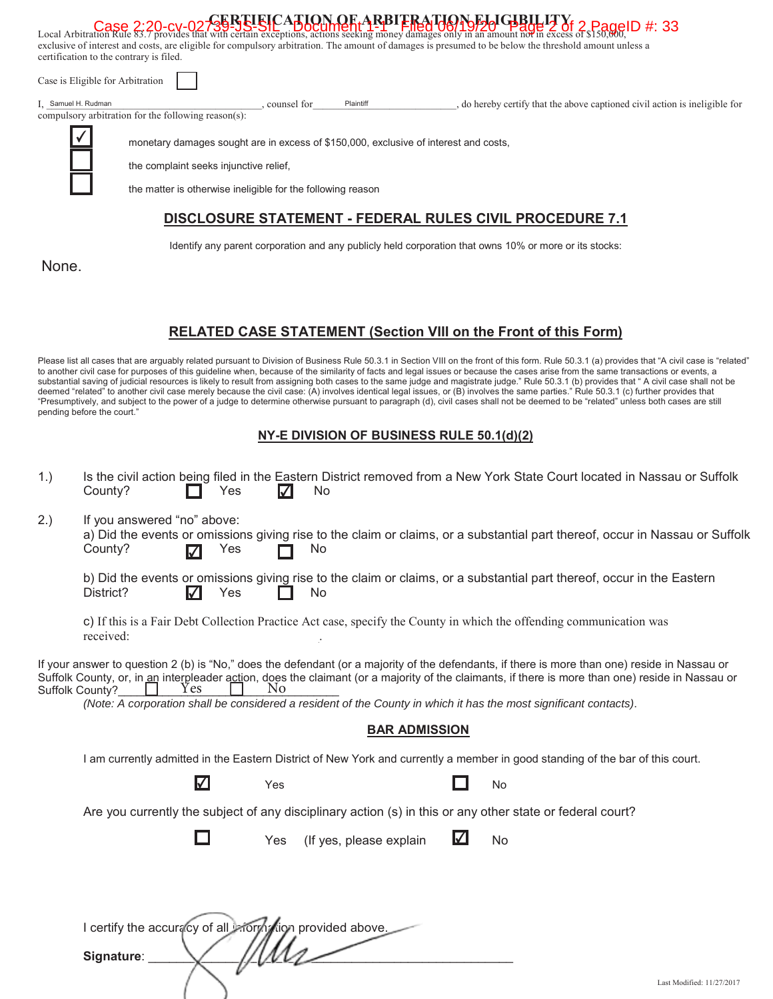| certification to the contrary is filed. |                                                                                                                                                                                                                                                                                                      |           | Case 2:20-Cy-02-GERELEICATION OF ARBITRATION TRATHELLITY (Case 2:20-Cy-02-GERELEICATION OF ARBITRATHELLITY) Case 2:20-Cy-02-GERELEICATION OF ARBITRATHELLITY (Case of \$150,00) F |
|-----------------------------------------|------------------------------------------------------------------------------------------------------------------------------------------------------------------------------------------------------------------------------------------------------------------------------------------------------|-----------|-----------------------------------------------------------------------------------------------------------------------------------------------------------------------------------|
| Case is Eligible for Arbitration        |                                                                                                                                                                                                                                                                                                      |           |                                                                                                                                                                                   |
| I. Samuel H. Rudman                     | counsel for                                                                                                                                                                                                                                                                                          | Plaintiff | do hereby certify that the above captioned civil action is ineligible for                                                                                                         |
|                                         |                                                                                                                                                                                                                                                                                                      |           |                                                                                                                                                                                   |
|                                         | exclusive of interest and costs, are eligible for compulsory arbitration. The amount of damages is presumed to be below the threshold amount unless a<br>compulsory arbitration for the following reason(s):<br>monetary damages sought are in excess of \$150,000, exclusive of interest and costs, |           |                                                                                                                                                                                   |

the complaint seeks injunctive relief,

 $($ 

the matter is otherwise ineligible for the following reason

### **DISCLOSURE STATEMENT - FEDERAL RULES CIVIL PROCEDURE 7.1**

Identify any parent corporation and any publicly held corporation that owns 10% or more or its stocks:

None.

#### **RELATED CASE STATEMENT (Section VIII on the Front of this Form)**

Please list all cases that are arguably related pursuant to Division of Business Rule 50.3.1 in Section VIII on the front of this form. Rule 50.3.1 (a) provides that "A civil case is "related" to another civil case for purposes of this guideline when, because of the similarity of facts and legal issues or because the cases arise from the same transactions or events, a substantial saving of judicial resources is likely to result from assigning both cases to the same judge and magistrate judge." Rule 50.3.1 (b) provides that " A civil case shall not be deemed "related" to another civil case merely because the civil case: (A) involves identical legal issues, or (B) involves the same parties." Rule 50.3.1 (c) further provides that "Presumptively, and subject to the power of a judge to determine otherwise pursuant to paragraph (d), civil cases shall not be deemed to be "related" unless both cases are still pending before the court."

#### **NY-E DIVISION OF BUSINESS RULE 50.1(d)(2)**

| 1.              | County?                                                   | Yes                   |     | No                      |   | Is the civil action being filed in the Eastern District removed from a New York State Court located in Nassau or Suffolk                                                                                                                                                                                                                                                                                               |                           |
|-----------------|-----------------------------------------------------------|-----------------------|-----|-------------------------|---|------------------------------------------------------------------------------------------------------------------------------------------------------------------------------------------------------------------------------------------------------------------------------------------------------------------------------------------------------------------------------------------------------------------------|---------------------------|
| 2.)             | If you answered "no" above:<br>County?<br>M               | Yes                   |     | No                      |   | a) Did the events or omissions giving rise to the claim or claims, or a substantial part thereof, occur in Nassau or Suffolk                                                                                                                                                                                                                                                                                           |                           |
|                 | District?<br>$\blacktriangledown$                         | Yes                   |     | No                      |   | b) Did the events or omissions giving rise to the claim or claims, or a substantial part thereof, occur in the Eastern                                                                                                                                                                                                                                                                                                 |                           |
|                 | received:                                                 |                       |     |                         |   | c) If this is a Fair Debt Collection Practice Act case, specify the County in which the offending communication was                                                                                                                                                                                                                                                                                                    |                           |
| Suffolk County? | Y es                                                      |                       | Nο  |                         |   | If your answer to question 2 (b) is "No," does the defendant (or a majority of the defendants, if there is more than one) reside in Nassau or<br>Suffolk County, or, in an interpleader action, does the claimant (or a majority of the claimants, if there is more than one) reside in Nassau or<br>(Note: A corporation shall be considered a resident of the County in which it has the most significant contacts). |                           |
|                 |                                                           |                       |     | <b>BAR ADMISSION</b>    |   |                                                                                                                                                                                                                                                                                                                                                                                                                        |                           |
|                 |                                                           |                       |     |                         |   | I am currently admitted in the Eastern District of New York and currently a member in good standing of the bar of this court.                                                                                                                                                                                                                                                                                          |                           |
|                 |                                                           | $\boldsymbol{\nabla}$ | Yes |                         |   | No                                                                                                                                                                                                                                                                                                                                                                                                                     |                           |
|                 |                                                           |                       |     |                         |   | Are you currently the subject of any disciplinary action (s) in this or any other state or federal court?                                                                                                                                                                                                                                                                                                              |                           |
|                 |                                                           | H                     | Yes | (If yes, please explain | M | No                                                                                                                                                                                                                                                                                                                                                                                                                     |                           |
|                 |                                                           |                       |     |                         |   |                                                                                                                                                                                                                                                                                                                                                                                                                        |                           |
|                 | I certify the accuracy of all informs lon provided above. |                       |     |                         |   |                                                                                                                                                                                                                                                                                                                                                                                                                        |                           |
|                 | Signature:                                                |                       |     |                         |   |                                                                                                                                                                                                                                                                                                                                                                                                                        |                           |
|                 |                                                           |                       |     |                         |   |                                                                                                                                                                                                                                                                                                                                                                                                                        | Last Modified: 11/27/2017 |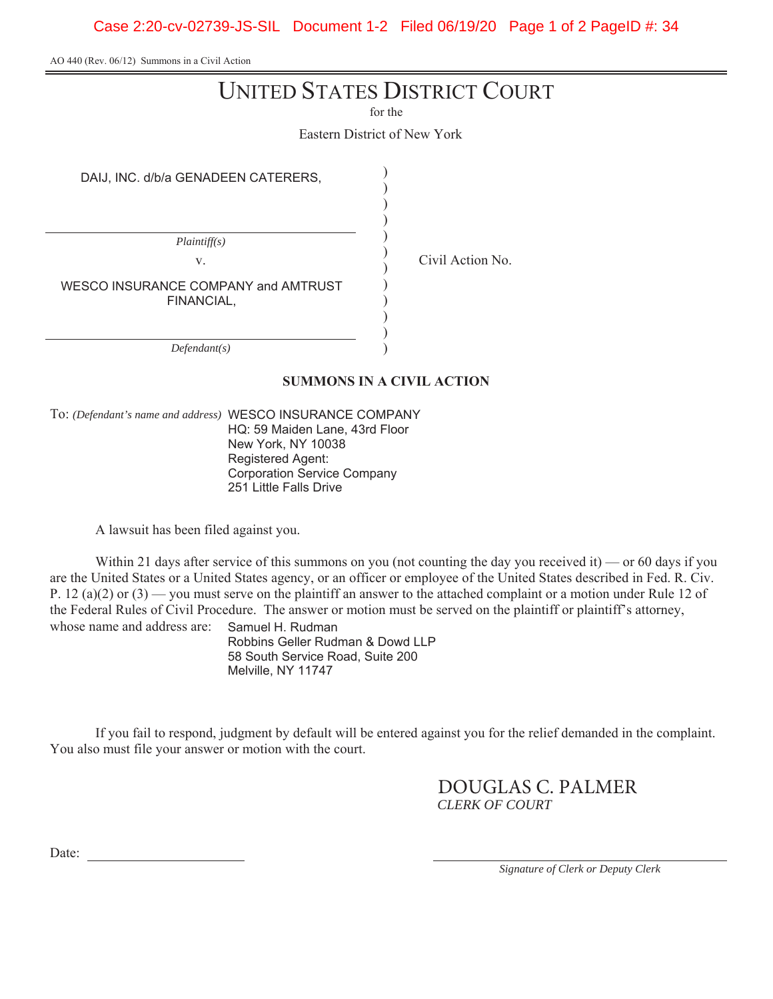Case 2:20-cv-02739-JS-SIL Document 1-2 Filed 06/19/20 Page 1 of 2 PageID #: 34

AO 440 (Rev. 06/12) Summons in a Civil Action

# UNITED STATES DISTRICT COURT

for the

Eastern District of New York

) ) ) ) ) ) ) ) ) ) ) )

DAIJ, INC. d/b/a GENADEEN CATERERS,

*Plaintiff(s)* v. Civil Action No. WESCO INSURANCE COMPANY and AMTRUST FINANCIAL,

*Defendant(s)*

#### **SUMMONS IN A CIVIL ACTION**

To: *(Defendant's name and address)* WESCO INSURANCE COMPANY HQ: 59 Maiden Lane, 43rd Floor New York, NY 10038 Registered Agent: Corporation Service Company 251 Little Falls Drive

A lawsuit has been filed against you.

Within 21 days after service of this summons on you (not counting the day you received it) — or 60 days if you are the United States or a United States agency, or an officer or employee of the United States described in Fed. R. Civ. P. 12 (a)(2) or (3) — you must serve on the plaintiff an answer to the attached complaint or a motion under Rule 12 of the Federal Rules of Civil Procedure. The answer or motion must be served on the plaintiff or plaintiff's attorney, whose name and address are: Samuel H. Rudman

Robbins Geller Rudman & Dowd LLP 58 South Service Road, Suite 200 Melville, NY 11747

If you fail to respond, judgment by default will be entered against you for the relief demanded in the complaint. You also must file your answer or motion with the court.

> *CLERK OF COURT* DOUGLAS C. PALMER

Date:

*Signature of Clerk or Deputy Clerk*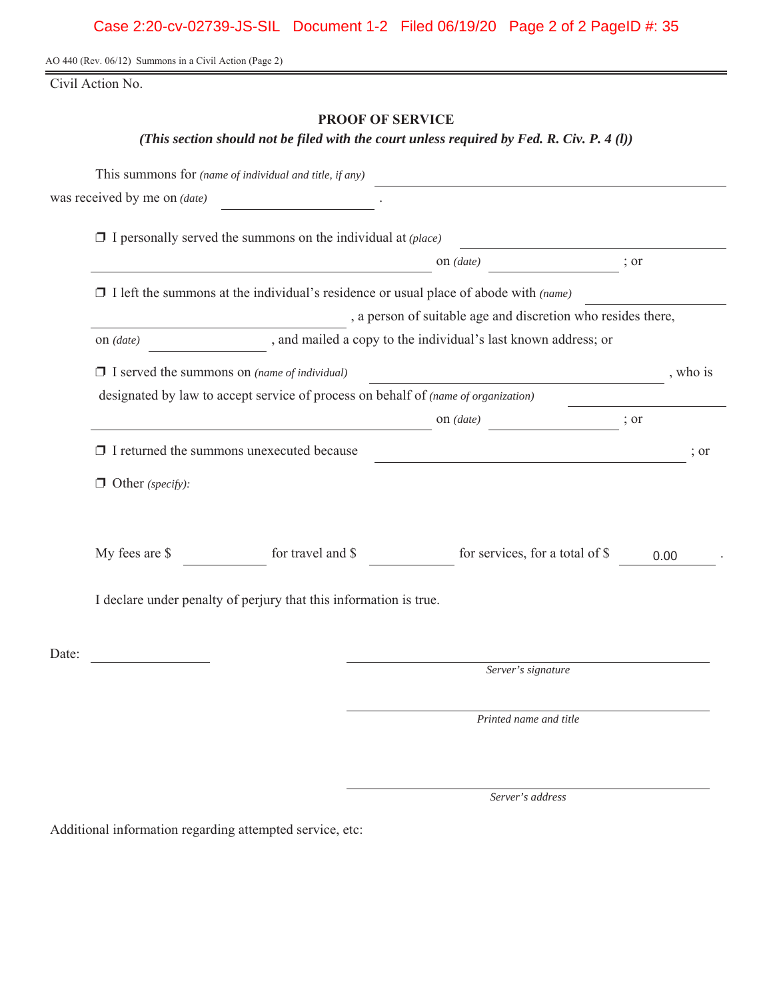AO 440 (Rev. 06/12) Summons in a Civil Action (Page 2)

Civil Action No.

## **PROOF OF SERVICE**

*(This section should not be filed with the court unless required by Fed. R. Civ. P. 4 (l))*

|       |                                                     | This summons for (name of individual and title, if any)                            |                                                                                             |      |                  |
|-------|-----------------------------------------------------|------------------------------------------------------------------------------------|---------------------------------------------------------------------------------------------|------|------------------|
|       | was received by me on <i>(date)</i>                 |                                                                                    |                                                                                             |      |                  |
|       |                                                     | $\Box$ I personally served the summons on the individual at (place)                |                                                                                             |      |                  |
|       |                                                     |                                                                                    | on $(data)$                                                                                 | ; or |                  |
|       |                                                     |                                                                                    | $\Box$ I left the summons at the individual's residence or usual place of abode with (name) |      |                  |
|       |                                                     |                                                                                    | , a person of suitable age and discretion who resides there,                                |      |                  |
|       | on $(data)$                                         |                                                                                    | , and mailed a copy to the individual's last known address; or                              |      |                  |
|       | $\Box$ I served the summons on (name of individual) |                                                                                    |                                                                                             |      | , who is         |
|       |                                                     | designated by law to accept service of process on behalf of (name of organization) |                                                                                             |      |                  |
|       |                                                     |                                                                                    | on $(data)$                                                                                 | ; or |                  |
|       |                                                     | $\Box$ I returned the summons unexecuted because                                   |                                                                                             |      | $\frac{1}{2}$ or |
|       | $\Box$ Other (specify):                             |                                                                                    |                                                                                             |      |                  |
|       | My fees are \$                                      | for travel and \$                                                                  | for services, for a total of \$                                                             |      | 0.00             |
|       |                                                     | I declare under penalty of perjury that this information is true.                  |                                                                                             |      |                  |
| Date: |                                                     |                                                                                    |                                                                                             |      |                  |
|       |                                                     |                                                                                    | Server's signature                                                                          |      |                  |
|       |                                                     |                                                                                    | Printed name and title                                                                      |      |                  |
|       |                                                     |                                                                                    |                                                                                             |      |                  |

*Server's address*

Additional information regarding attempted service, etc: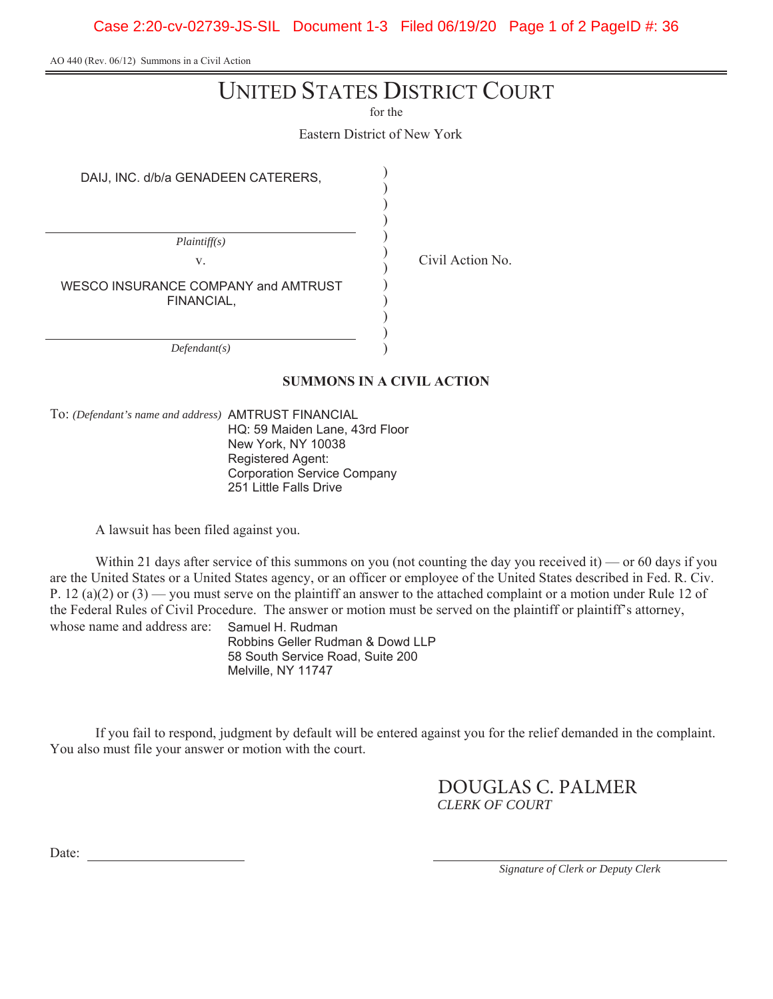Case 2:20-cv-02739-JS-SIL Document 1-3 Filed 06/19/20 Page 1 of 2 PageID #: 36

AO 440 (Rev. 06/12) Summons in a Civil Action

# UNITED STATES DISTRICT COURT

for the

Eastern District of New York

) ) ) ) ) ) ) ) ) ) ) )

DAIJ, INC. d/b/a GENADEEN CATERERS,

*Plaintiff(s)* v. Civil Action No. WESCO INSURANCE COMPANY and AMTRUST FINANCIAL,

*Defendant(s)*

#### **SUMMONS IN A CIVIL ACTION**

To: *(Defendant's name and address)* AMTRUST FINANCIAL HQ: 59 Maiden Lane, 43rd Floor New York, NY 10038 Registered Agent: Corporation Service Company

251 Little Falls Drive

A lawsuit has been filed against you.

Within 21 days after service of this summons on you (not counting the day you received it) — or 60 days if you are the United States or a United States agency, or an officer or employee of the United States described in Fed. R. Civ. P. 12 (a)(2) or (3) — you must serve on the plaintiff an answer to the attached complaint or a motion under Rule 12 of the Federal Rules of Civil Procedure. The answer or motion must be served on the plaintiff or plaintiff's attorney, whose name and address are: Samuel H. Rudman

Robbins Geller Rudman & Dowd LLP 58 South Service Road, Suite 200 Melville, NY 11747

If you fail to respond, judgment by default will be entered against you for the relief demanded in the complaint. You also must file your answer or motion with the court.

> *CLERK OF COURT* DOUGLAS C. PALMER

Date:

*Signature of Clerk or Deputy Clerk*